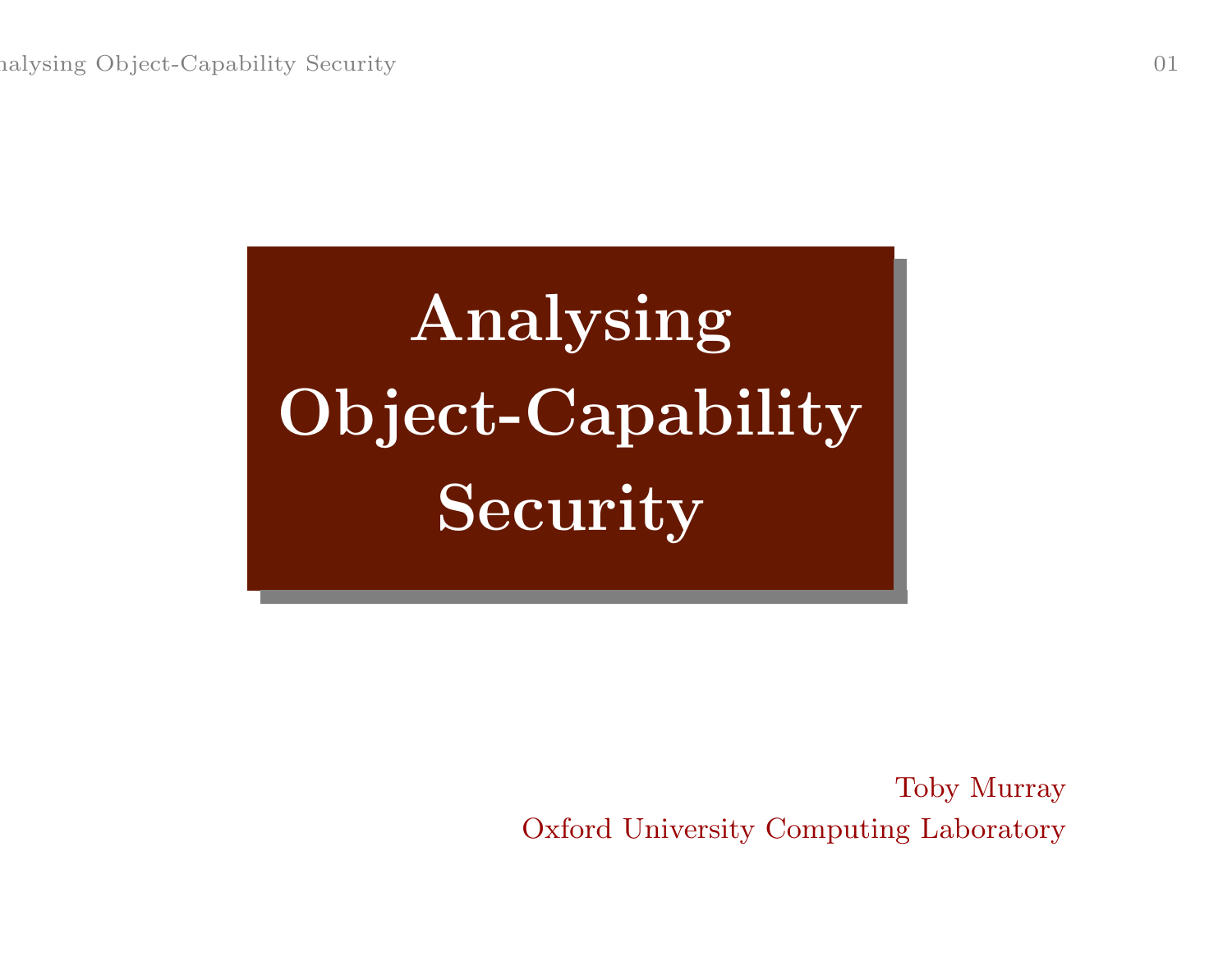# Analysing Object-Capability Security

Toby Murray Oxford University Computing Laboratory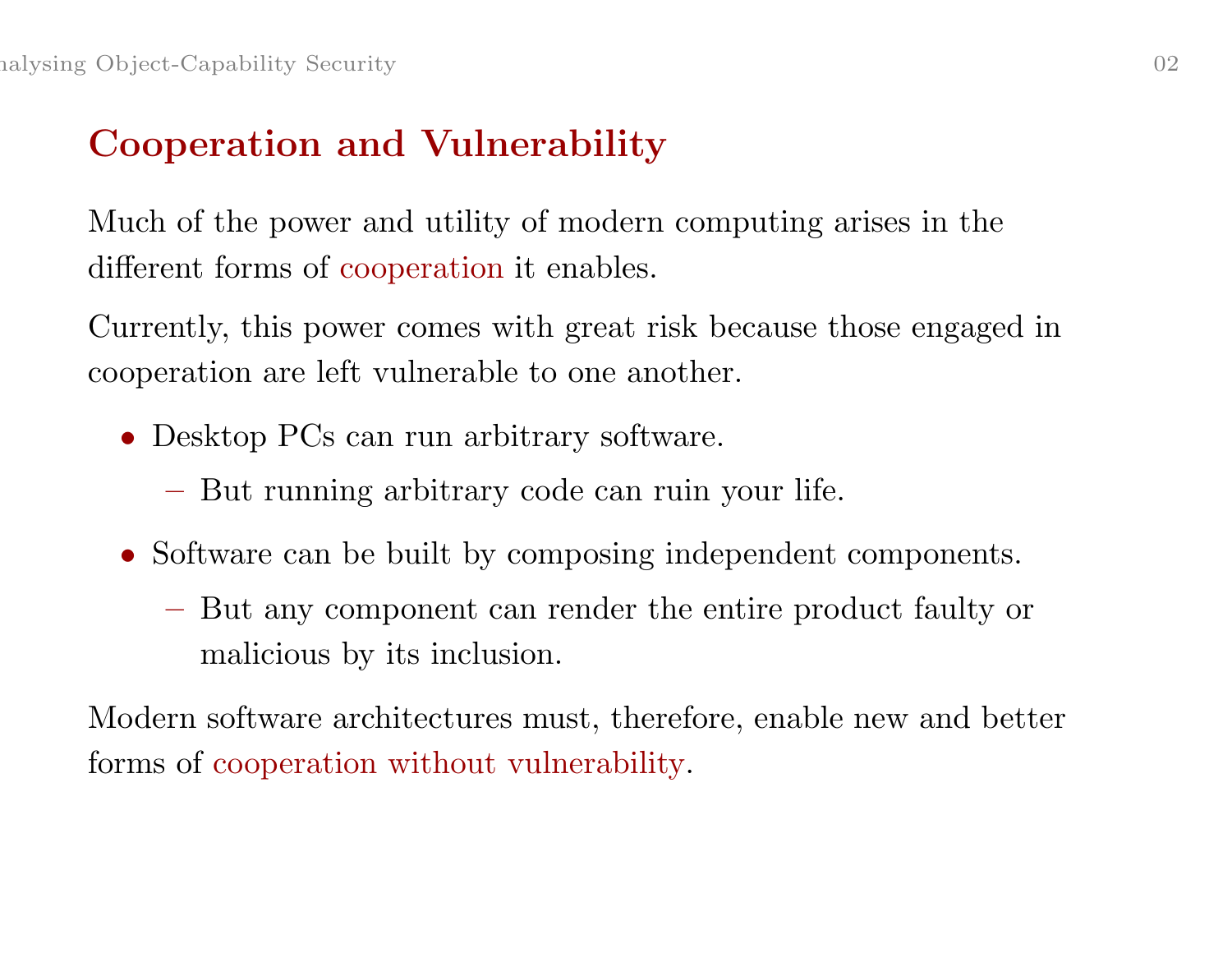# Cooperation and Vulnerability

Much of the power and utility of modern computing arises in the different forms of cooperation it enables.

Currently, this power comes with great risk because those engaged in cooperation are left vulnerable to one another.

- Desktop PCs can run arbitrary software.
	- **Experimental Contract Contract Contract** But running arbitrary code can ruin your life.
- Software can be built by composing independent components.
	- But any component can render the entire product faulty or malicious by its inclusion.

Modern software architectures must, therefore, enable new and better forms of cooperation without vulnerability.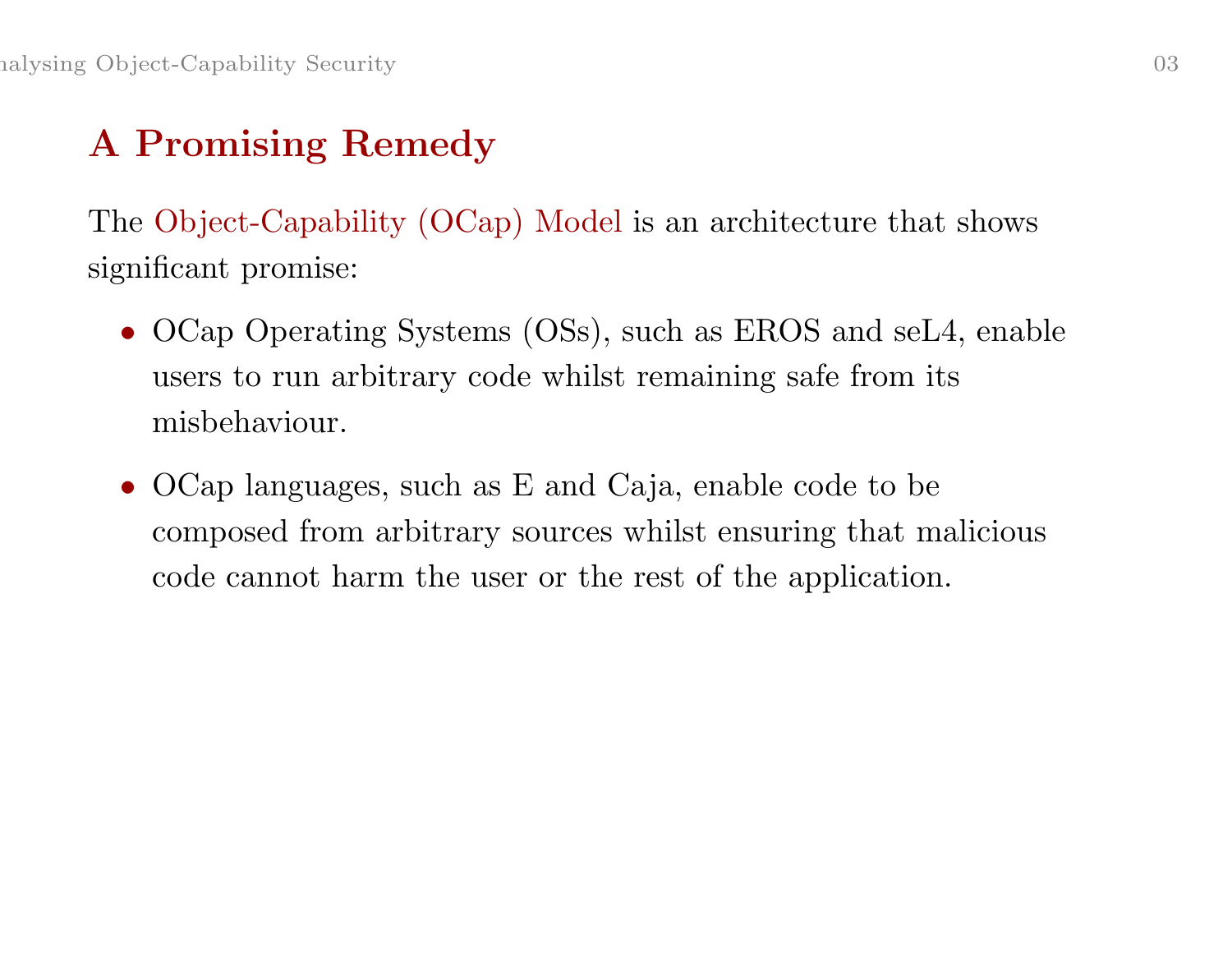# A Promising Remedy

The Object-Capability (OCap) Model is an architecture that shows significant promise:

- OCap Operating Systems (OSs), such as EROS and seL4, enable users to run arbitrary code whilst remaining safe from its misbehaviour.
- OCap languages, such as E and Caja, enable code to be composed from arbitrary sources whilst ensuring that malicious code cannot harm the user or the rest of the application.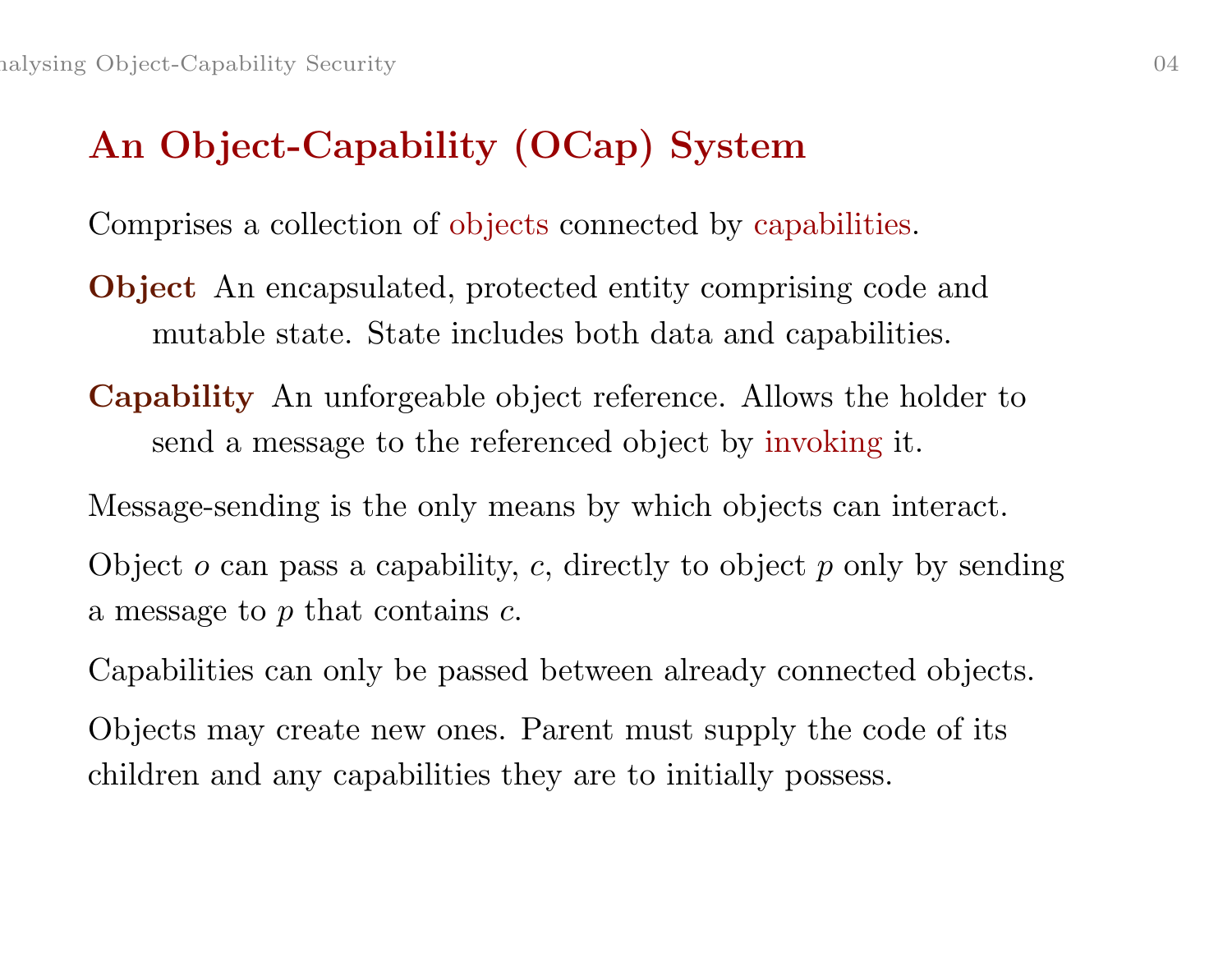# An Object-Capability (OCap) System

Comprises <sup>a</sup> collection of objects connected by capabilities.

- Object An encapsulated, protected entity comprising code and mutable state. State includes both data and capabilities.
- Capability An unforgeable object reference. Allows the holder to send <sup>a</sup> message to the referenced object by invoking it.

Message-sending is the only means by which objects can interact. Object  $o$  can pass a capability,  $c$ , directly to object  $p$  only by sending

a message to  $p$  that contains  $c$ .

Capabilities can only be passed between already connected objects.

Objects may create new ones. Parent must supply the code of its children and any capabilities they are to initially possess.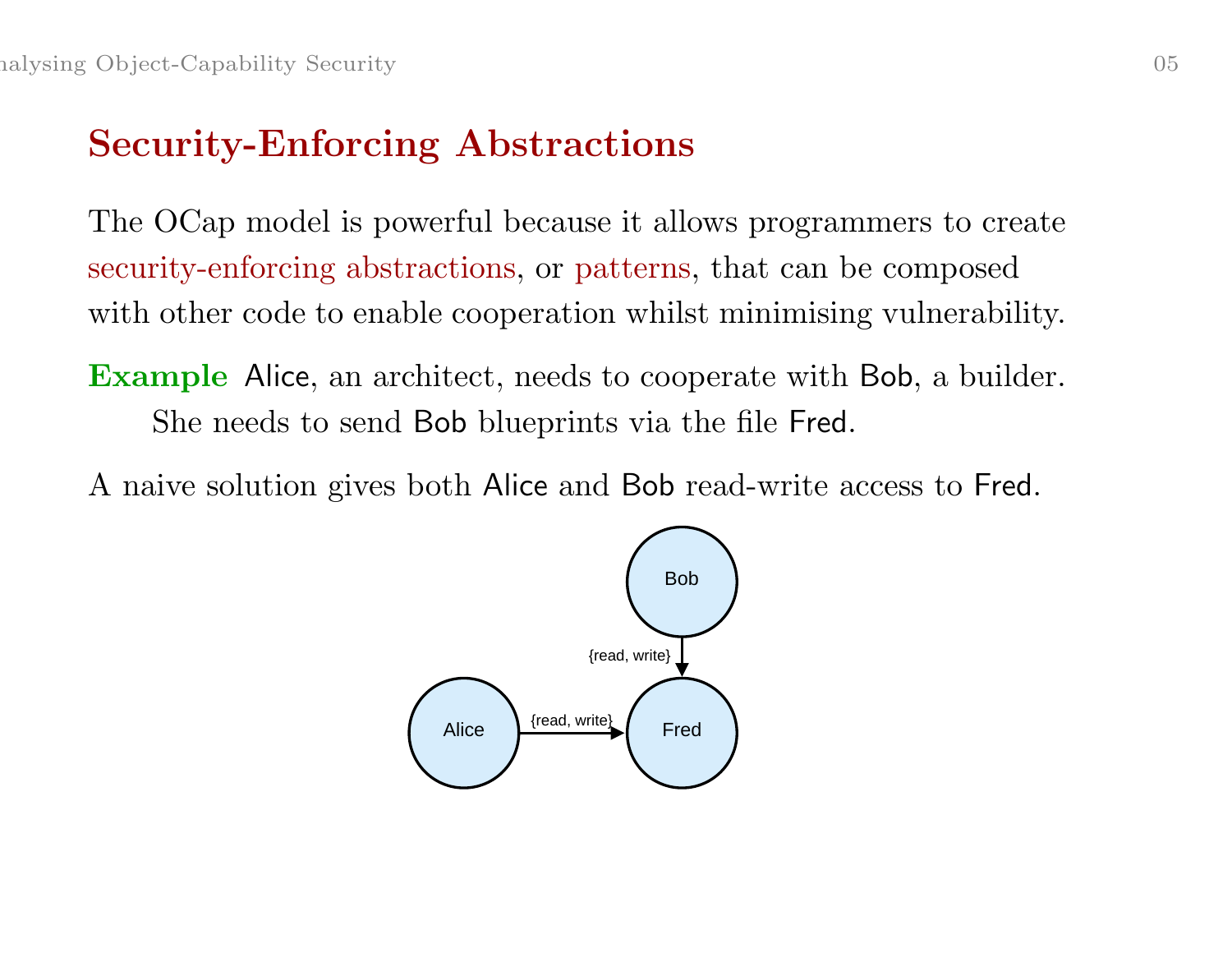# Security-Enforcing Abstractions

The OCap model is powerful because it allows programmers to create security-enforcing abstractions, or patterns, that can be composed with other code to enable cooperation whilst minimising vulnerability.

Example Alice, an architect, needs to cooperate with Bob, a builder. She needs to send Bob blueprints via the file Fred.

A naive solution gives both Alice and Bob read-write access to Fred.

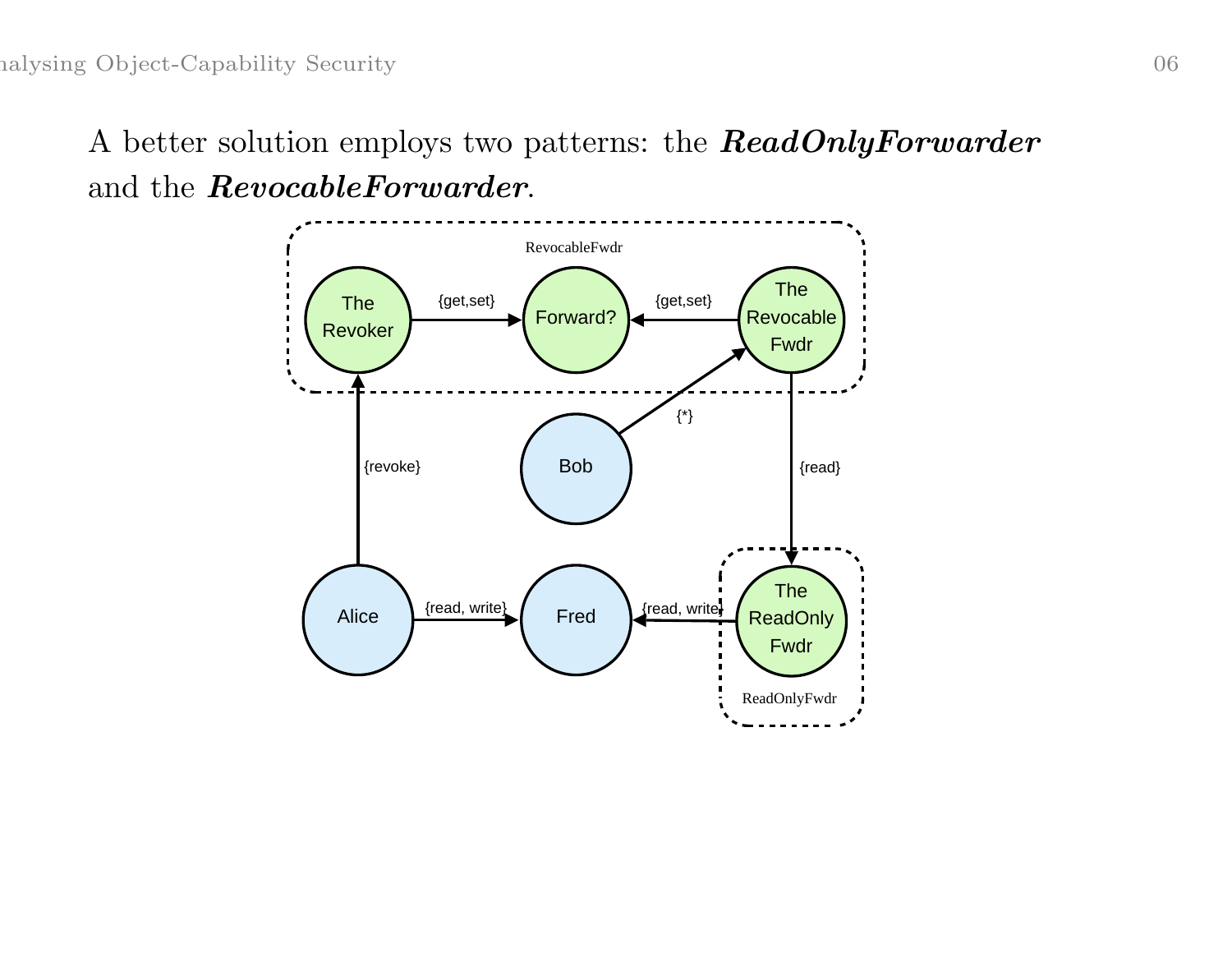A better solution employs two patterns: the **ReadOnlyForwarder** and the RevocableForwarder.

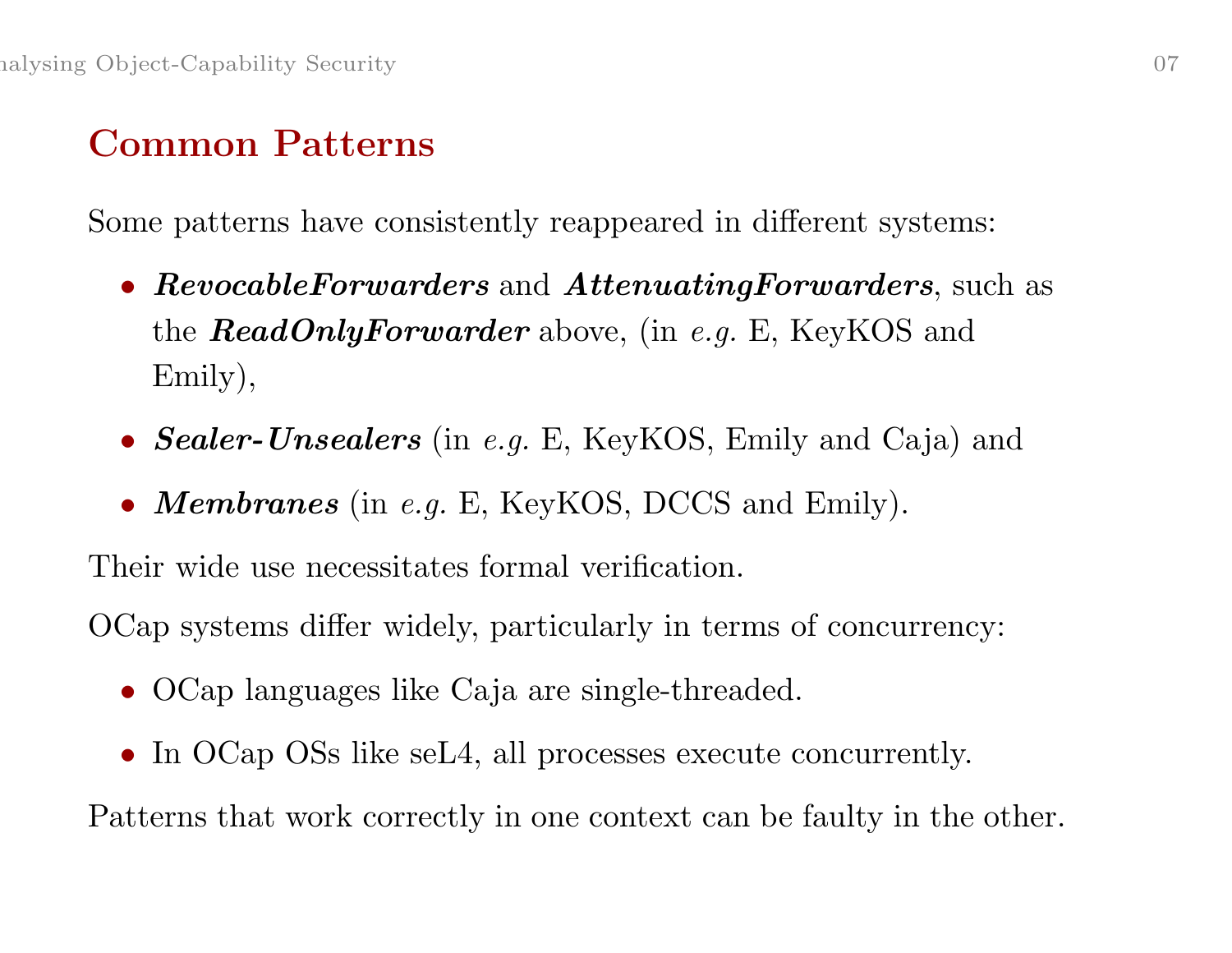#### Common Patterns

Some patterns have consistently reappeared in different systems:

- $Revo cableForwarders$  and  $AttentioningForwarders$ , such as the **ReadOnlyForwarder** above, (in e.g. E, KeyKOS and Emily),
- Sealer-Unsealers (in e.g. E, KeyKOS, Emily and Caja) and
- Membranes (in e.g. E, KeyKOS, DCCS and Emily).

Their wide use necessitates formal verification.

OCap systems differ widely, particularly in terms of concurrency:

- OCap languages like Caja are single-threaded.
- In OCap OSs like seL4, all processes execute concurrently.

Patterns that work correctly in one context can be faulty in the other.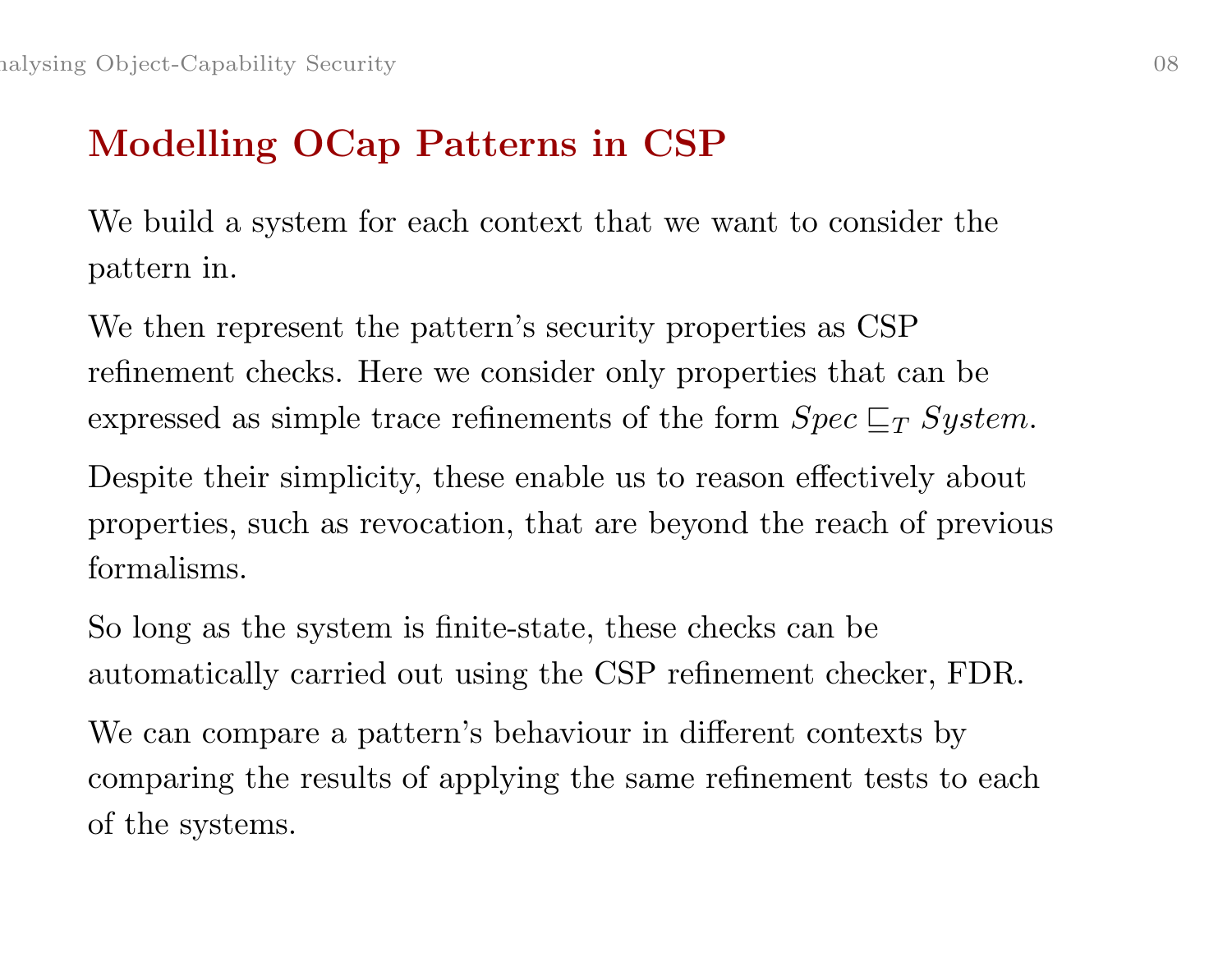# Modelling OCap Patterns in CSP

We build <sup>a</sup> system for each context that we want to consider the pattern in.

We then represent the pattern's security properties as CSP refinement checks. Here we consider only properties that can be expressed as simple trace refinements of the form  $Spec \sqsubseteq_T System$ .

Despite their simplicity, these enable us to reason effectively about properties, such as revocation, that are beyond the reach of previous formalisms.

So long as the system is finite-state, these checks can be automatically carried out using the CSP refinement checker, FDR.

We can compare <sup>a</sup> pattern's behaviour in different contexts by comparing the results of applying the same refinement tests to each of the systems.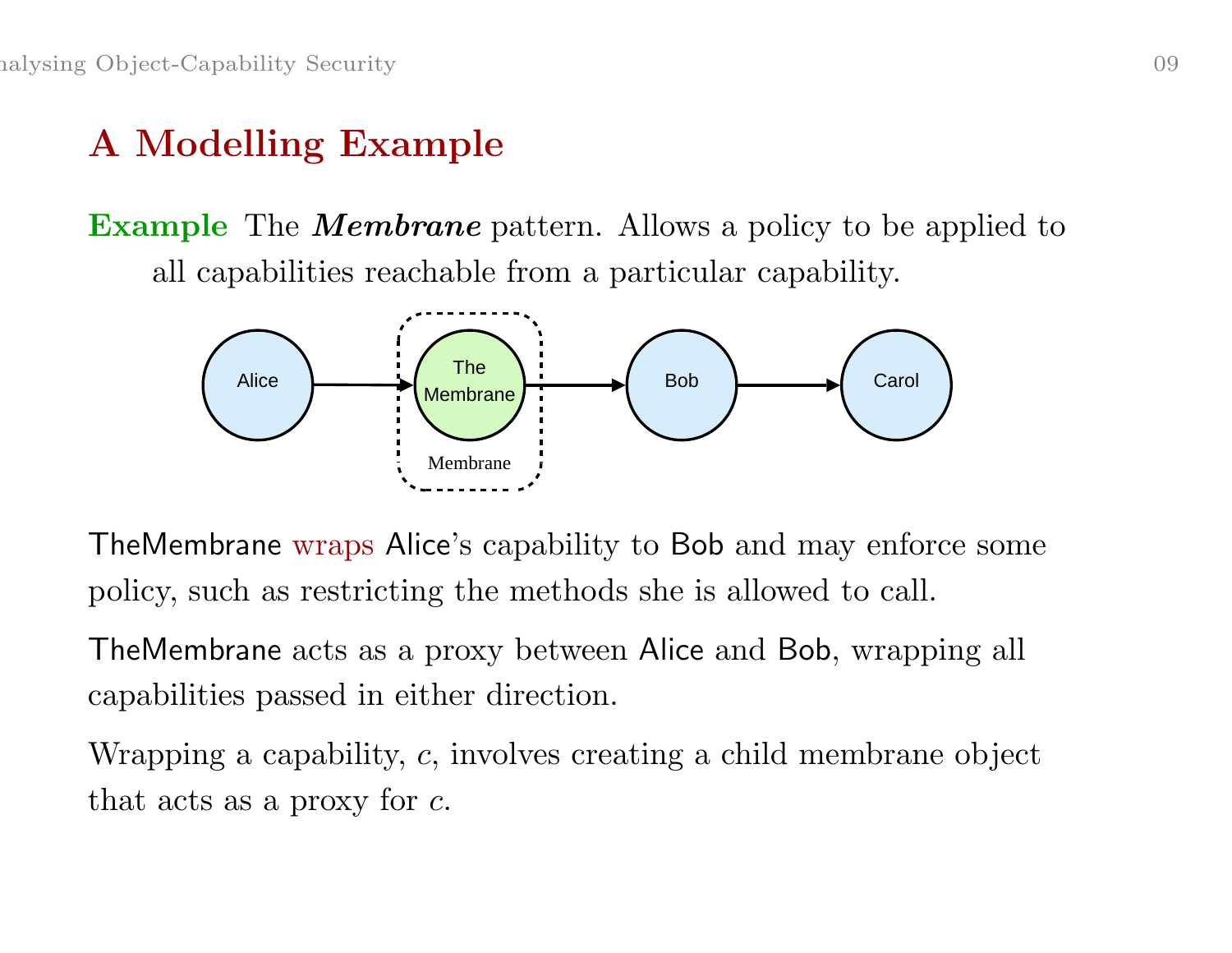# A Modelling Example

**Example** The **Membrane** pattern. Allows a policy to be applied to all capabilities reachable from <sup>a</sup> particular capability.



TheMembrane wraps Alice's capability to Bob and may enforce some policy, such as restricting the methods she is allowed to call.

TheMembrane acts as <sup>a</sup> proxy between Alice and Bob, wrapping all capabilities passed in either direction.

Wrapping <sup>a</sup> capability, <sup>c</sup>, involves creating <sup>a</sup> child membrane object that acts as <sup>a</sup> proxy for <sup>c</sup>.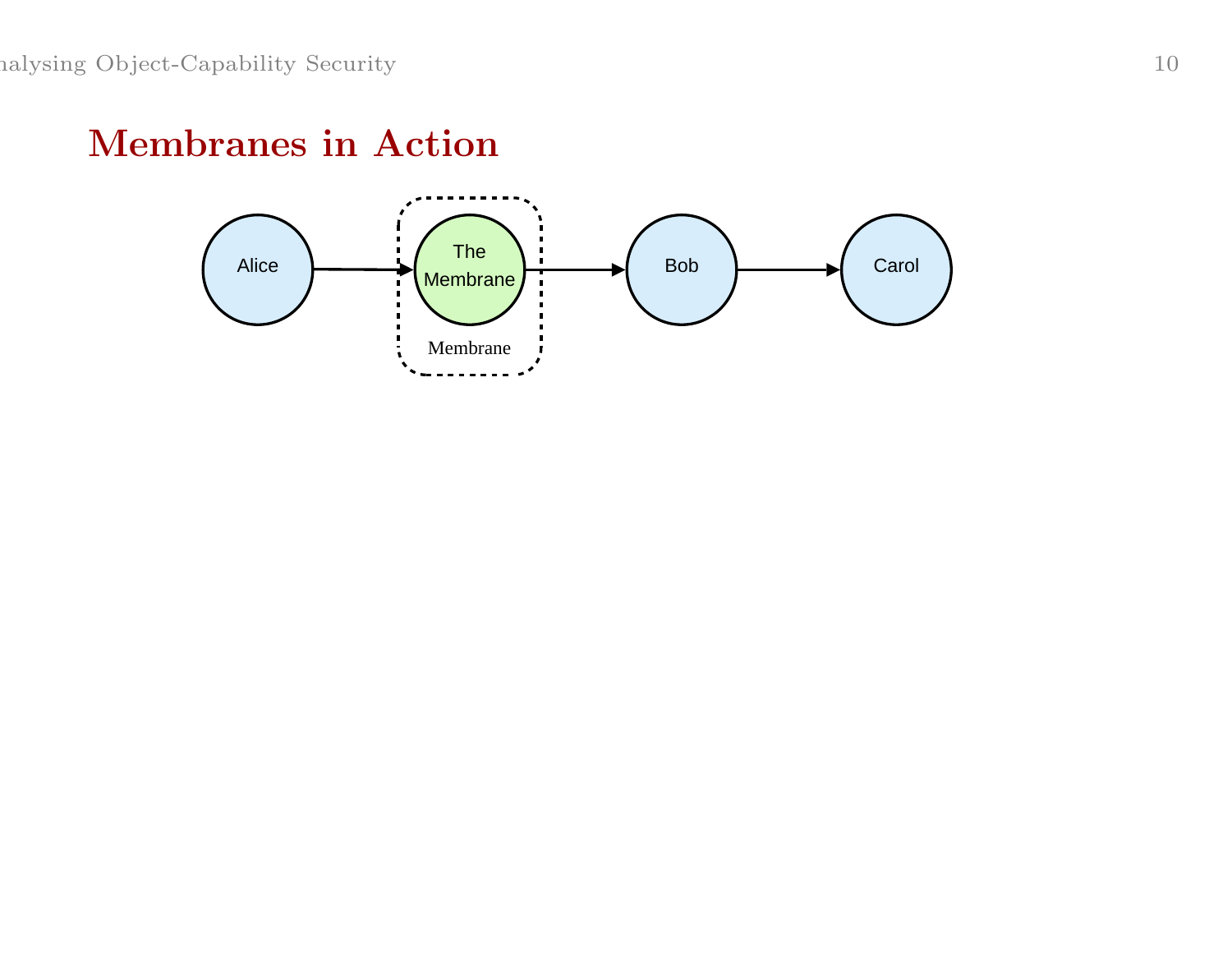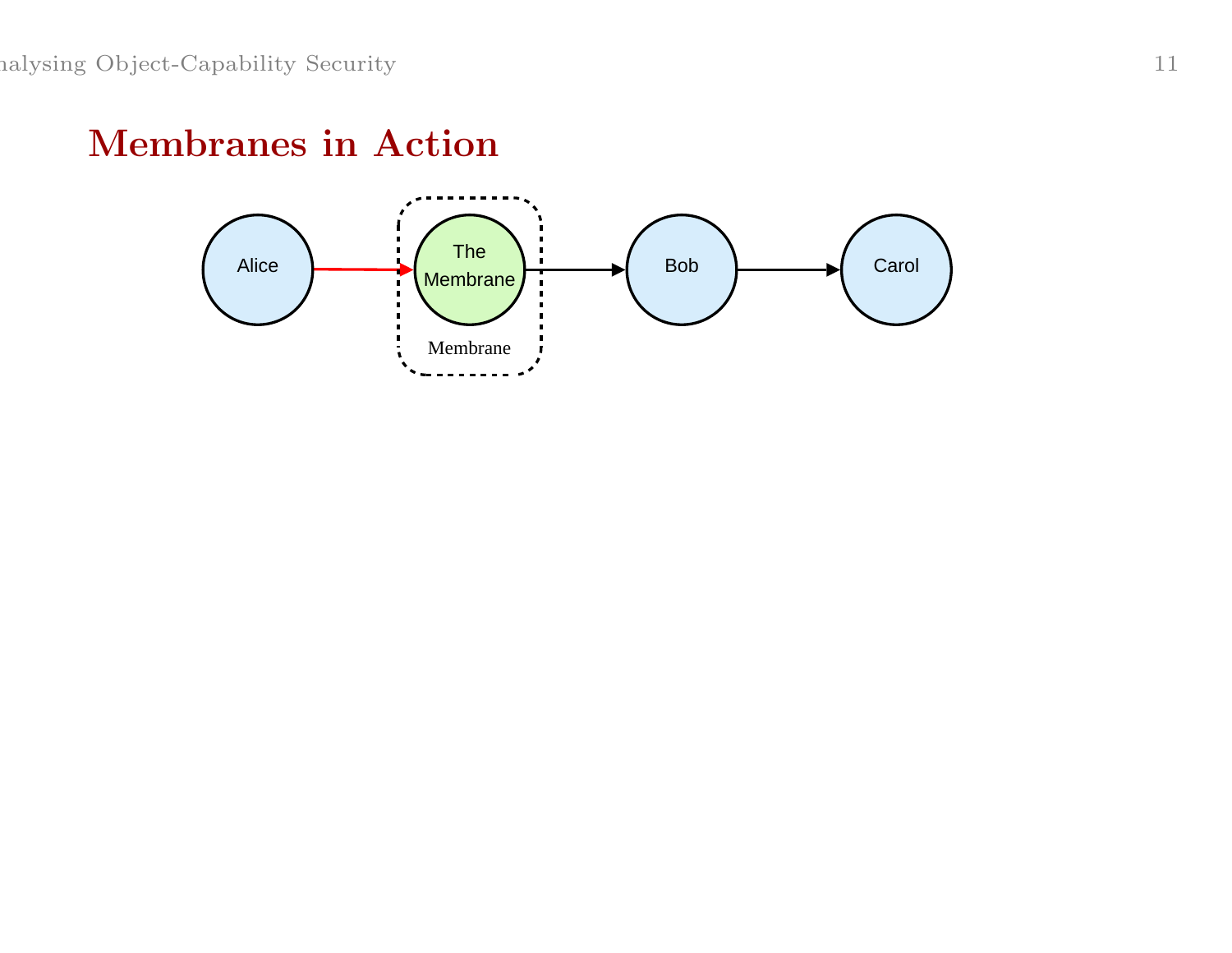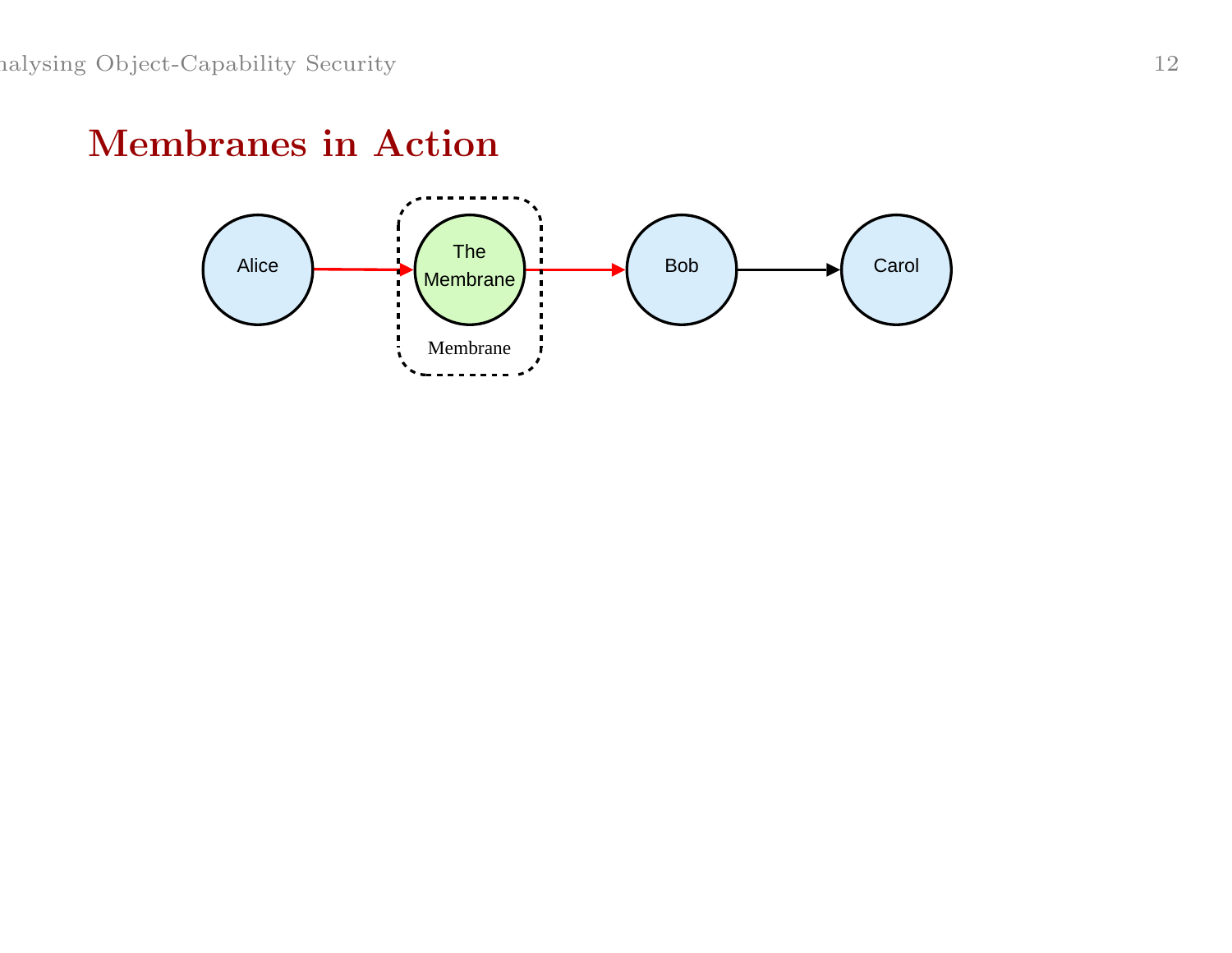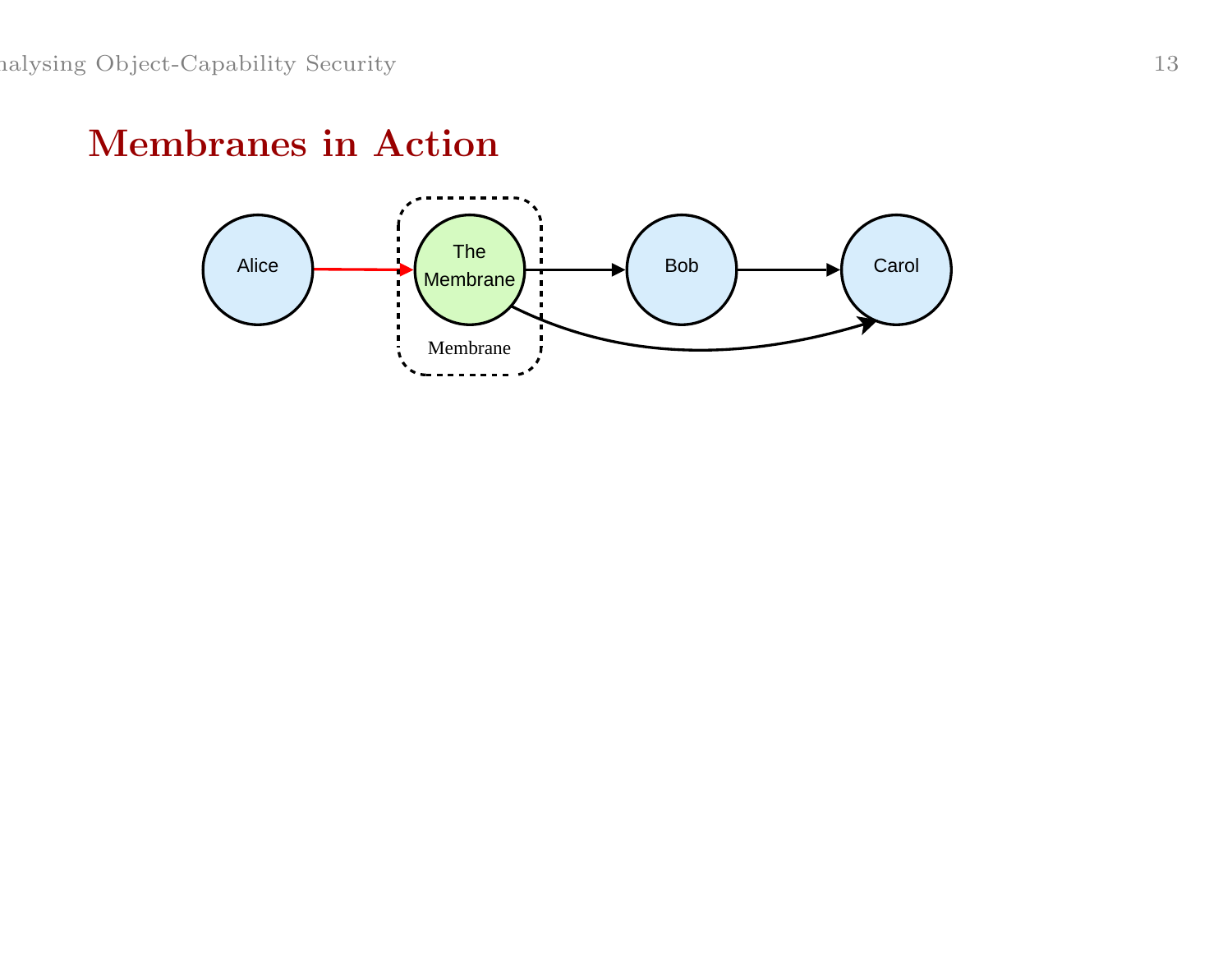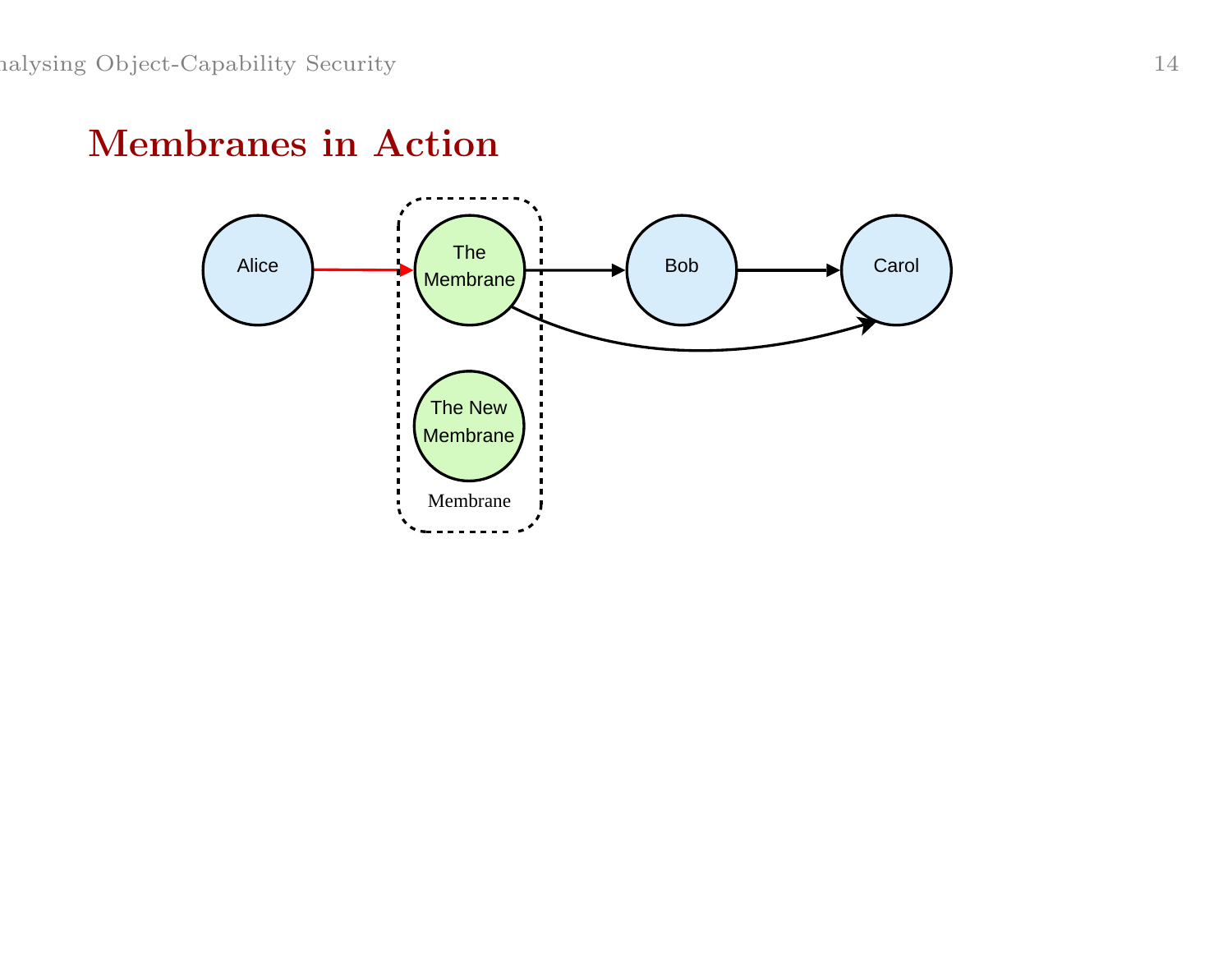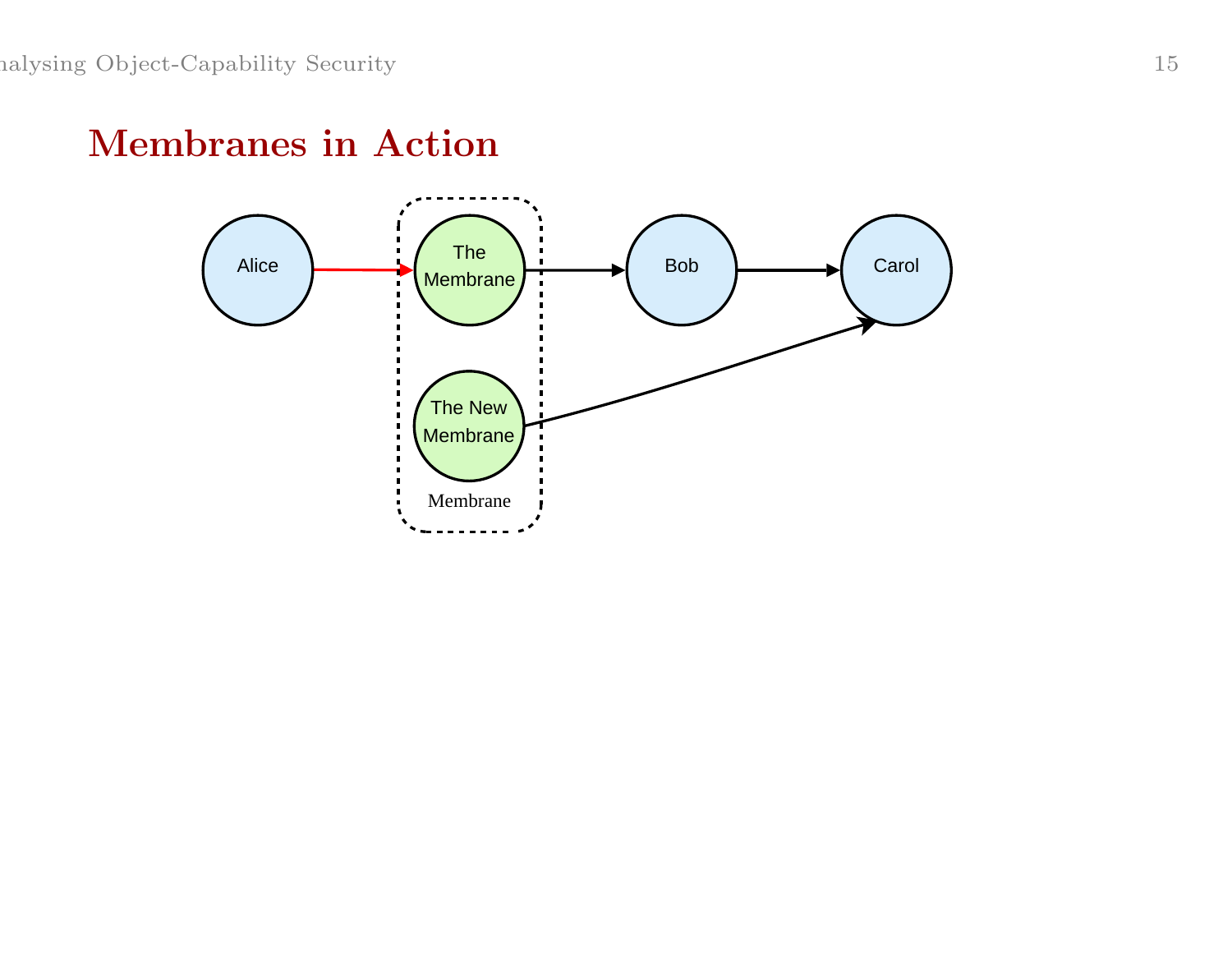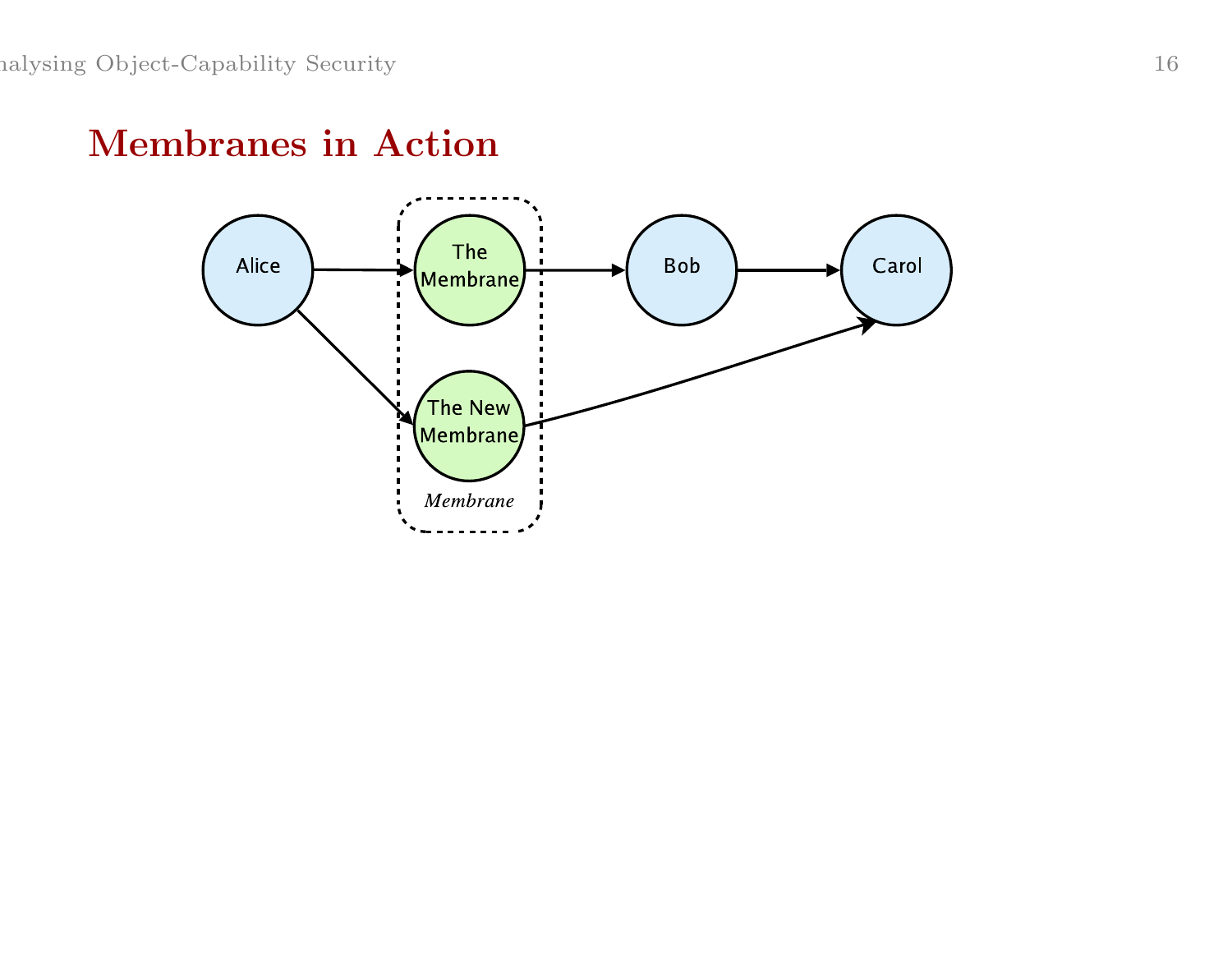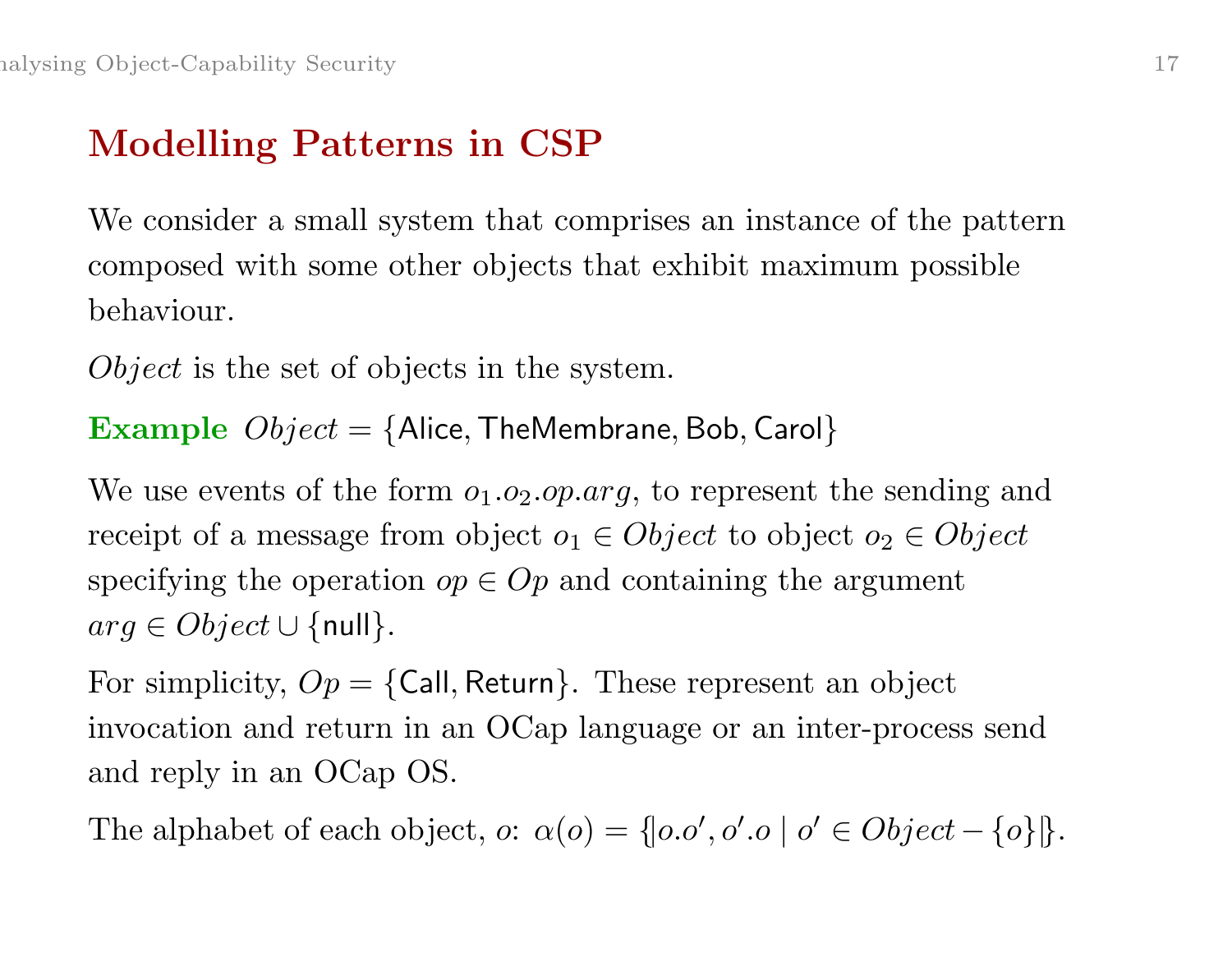# Modelling Patterns in CSP

We consider <sup>a</sup> small system that comprises an instance of the pattern composed with some other objects that exhibit maximum possible behaviour.

Object is the set of objects in the system.

**Example**  $Object = \{Alice, TheMember, Bob, Carol\}$ 

We use events of the form  $o_1.o_2.o p. arg$ , to represent the sending and receipt of a message from object  $o_1 \in Object$  to object  $o_2 \in Object$ specifying the operation  $op \in Op$  and containing the argument  $arg \in Object \cup \{null\}.$ 

For simplicity,  $Op = \{Call, Return\}$ . These represent an object invocation and return in an OCap language or an inter-process send and reply in an OCap OS.

The alphabet of each object,  $o: \alpha(o) = \{ |o.o', o', o' \in Object - \{o\} | \}.$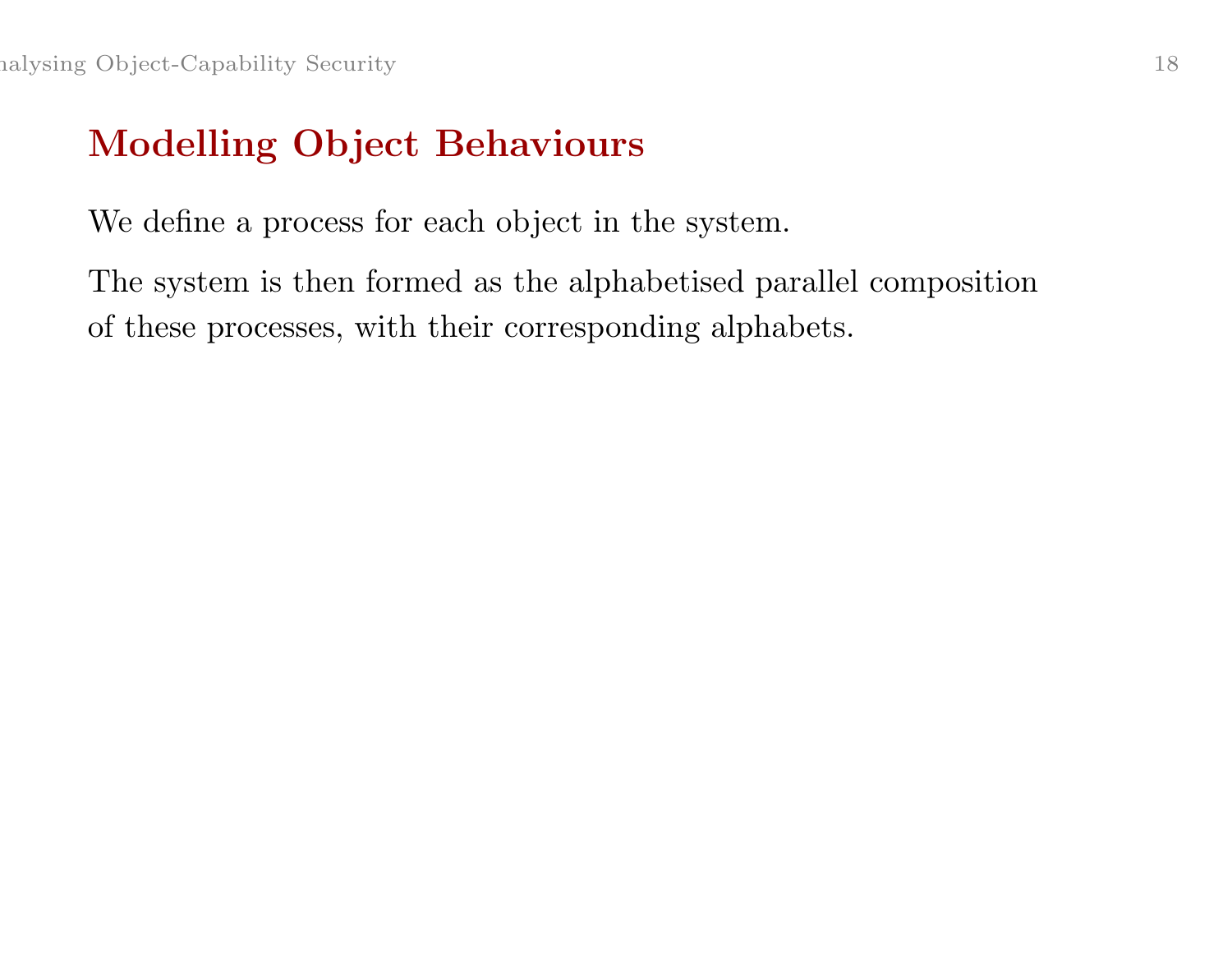# Modelling Object Behaviours

We define <sup>a</sup> process for each object in the system.

The system is then formed as the alphabetised parallel composition of these processes, with their corresponding alphabets.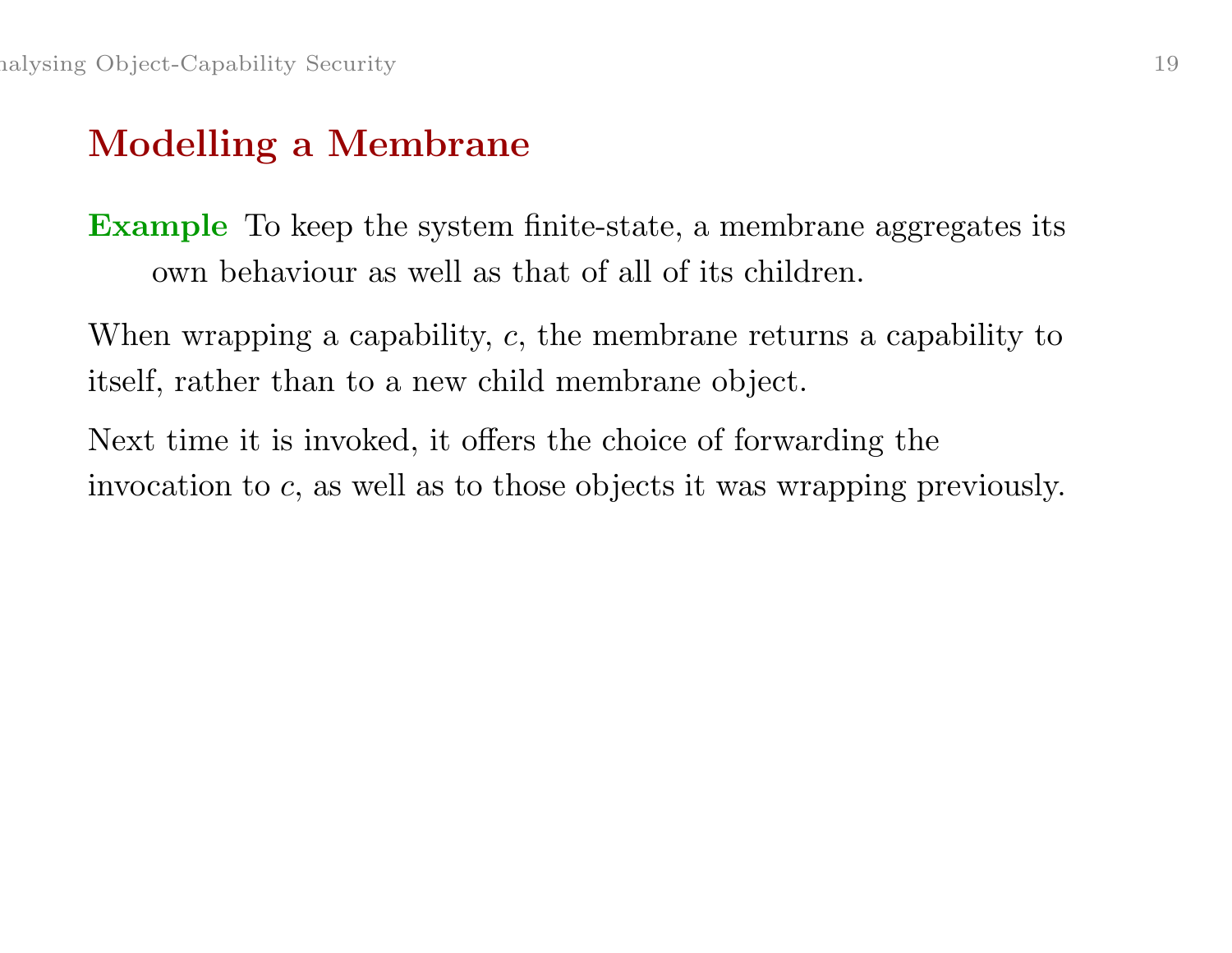# Modelling <sup>a</sup> Membrane

Example To keep the system finite-state, <sup>a</sup> membrane aggregates its own behaviour as well as that of all of its children.

When wrapping a capability, c, the membrane returns a capability to itself, rather than to <sup>a</sup> new child membrane object.

Next time it is invoked, it offers the choice of forwarding the invocation to <sup>c</sup>, as well as to those objects it was wrapping previously.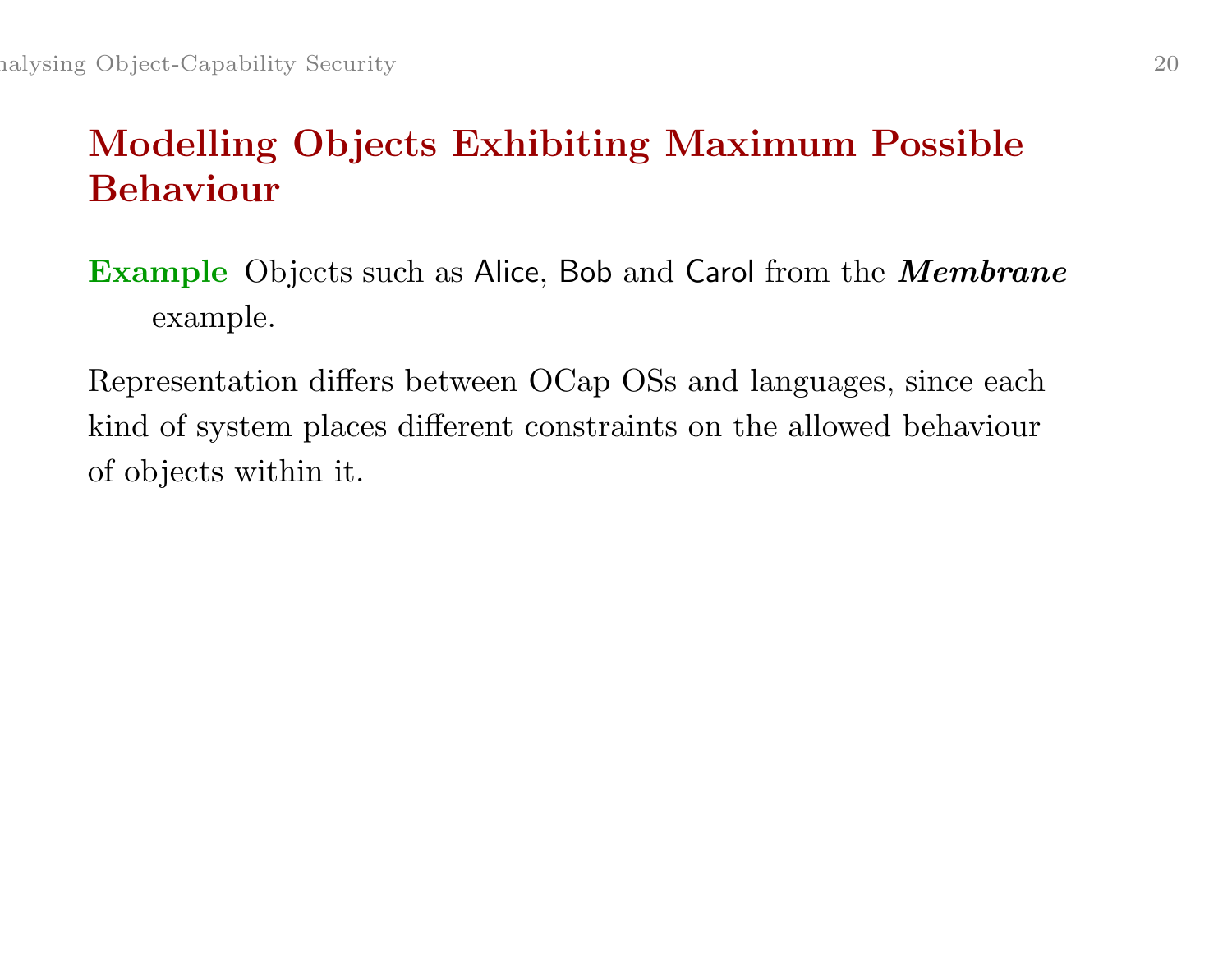# Modelling Objects Exhibiting Maximum Possible Behaviour

- **Example** Objects such as Alice, Bob and Carol from the *Membrane* example.
- Representation differs between OCap OSs and languages, since each kind of system <sup>p</sup>laces different constraints on the allowed behaviour of objects within it.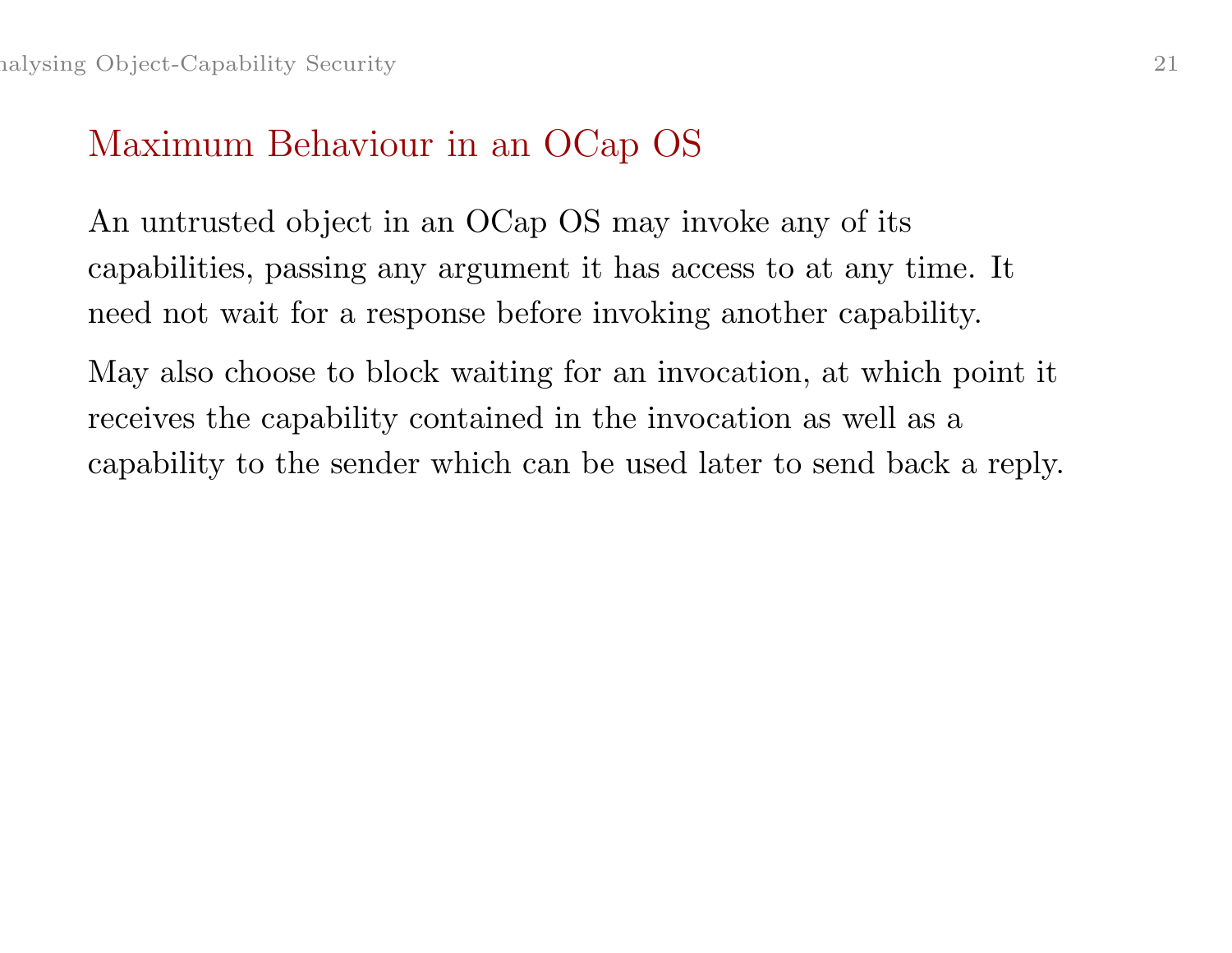#### Maximum Behaviour in an OCap OS

An untrusted object in an OCap OS may invoke any of its capabilities, passing any argument it has access to at any time. It need not wait for <sup>a</sup> response before invoking another capability.

May also choose to block waiting for an invocation, at which point it receives the capability contained in the invocation as well as <sup>a</sup> capability to the sender which can be used later to send back <sup>a</sup> reply.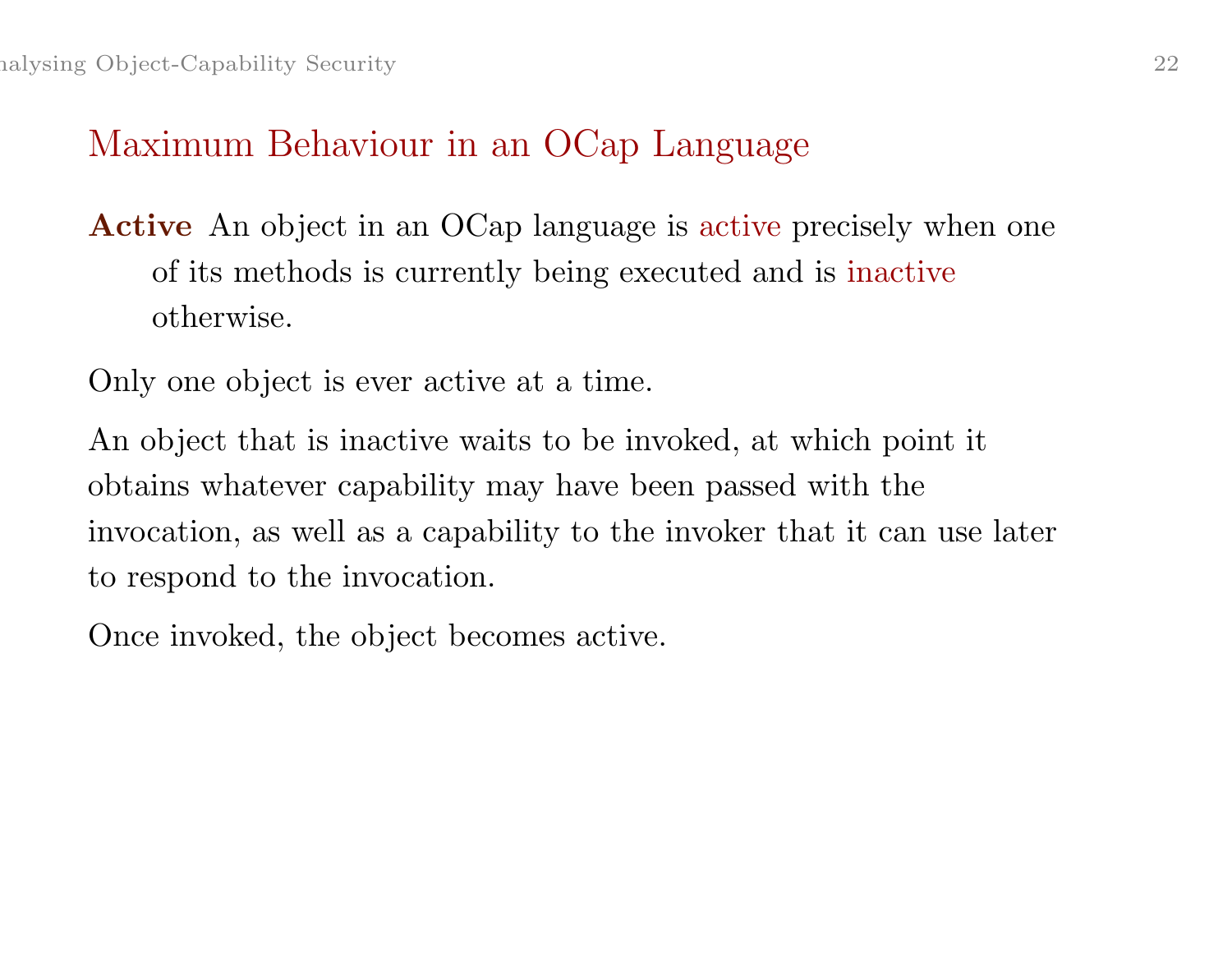#### Maximum Behaviour in an OCap Language

Active An object in an OCap language is active precisely when one of its methods is currently being executed and is inactive otherwise.

Only one object is ever active at <sup>a</sup> time.

An object that is inactive waits to be invoked, at which point it obtains whatever capability may have been passed with the invocation, as well as <sup>a</sup> capability to the invoker that it can use later to respond to the invocation.

Once invoked, the object becomes active.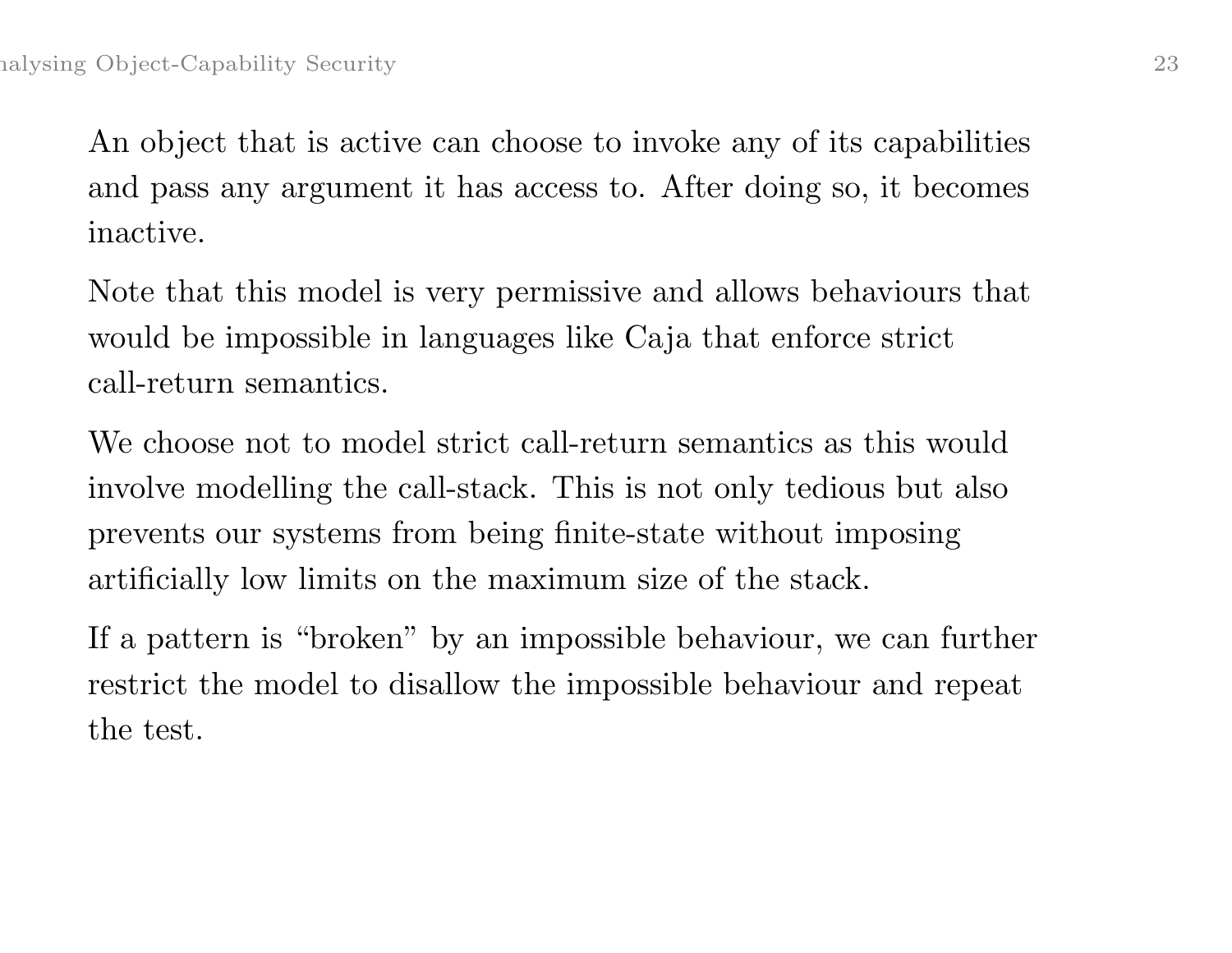An object that is active can choose to invoke any of its capabilities and pass any argument it has access to. After doing so, it becomes inactive.

Note that this model is very permissive and allows behaviours that would be impossible in languages like Caja that enforce strict call-return semantics.

We choose not to model strict call-return semantics as this would involve modelling the call-stack. This is not only tedious but also prevents our systems from being finite-state without imposing artificially low limits on the maximum size of the stack.

If <sup>a</sup> pattern is "broken" by an impossible behaviour, we can further restrict the model to disallow the impossible behaviour and repeat the test.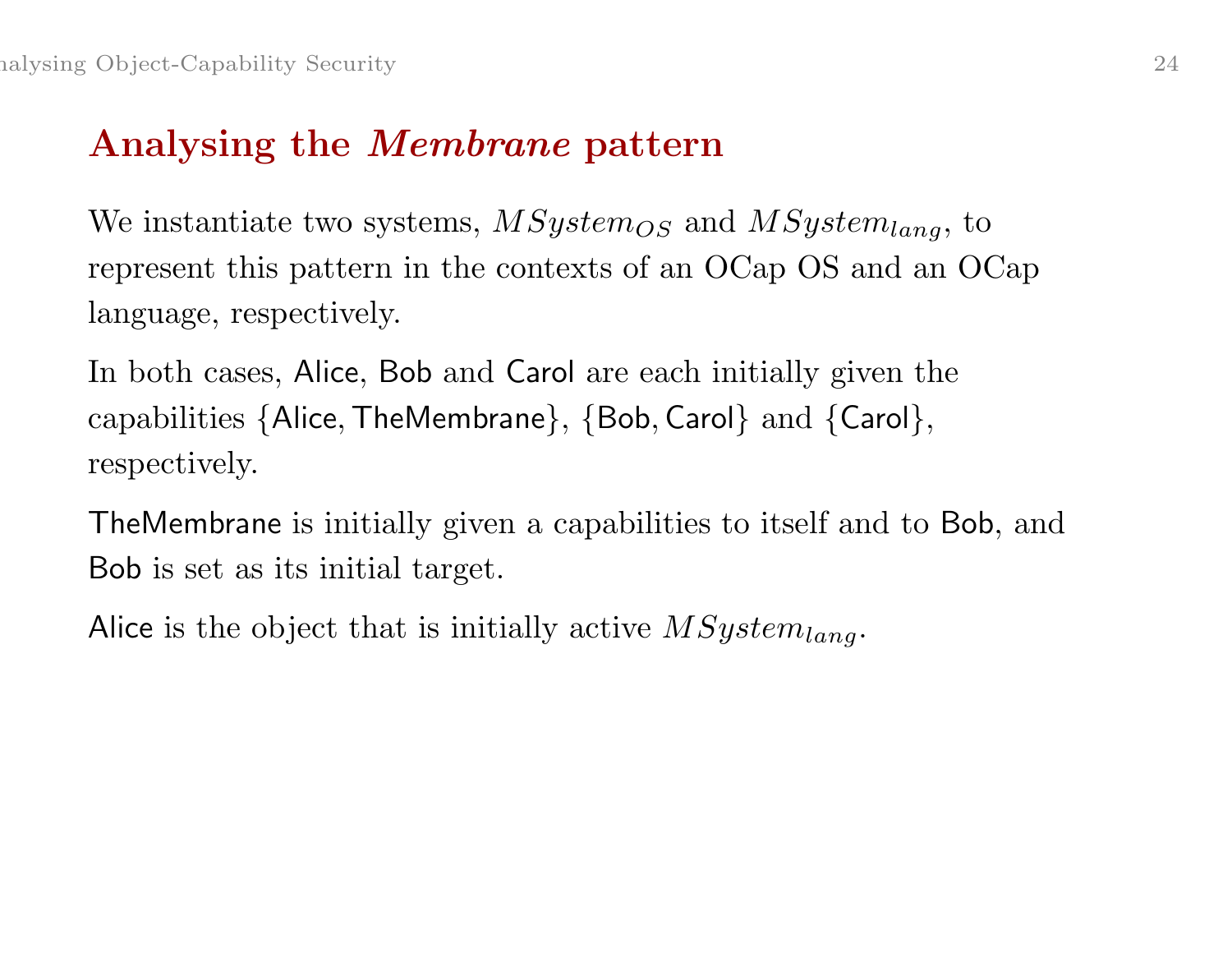# Analysing the Membrane pattern

We instantiate two systems,  $MSystem_{OS}$  and  $MSystem_{lang}$ , to represent this pattern in the contexts of an OCap OS and an OCap language, respectively.

In both cases, Alice, Bob and Carol are each initially given the capabilities {Alice,TheMembrane}, {Bob, Carol} and {Carol}, respectively.

TheMembrane is initially given <sup>a</sup> capabilities to itself and to Bob, and Bob is set as its initial target.

Alice is the object that is initially active  $MSystem_{lang}$ .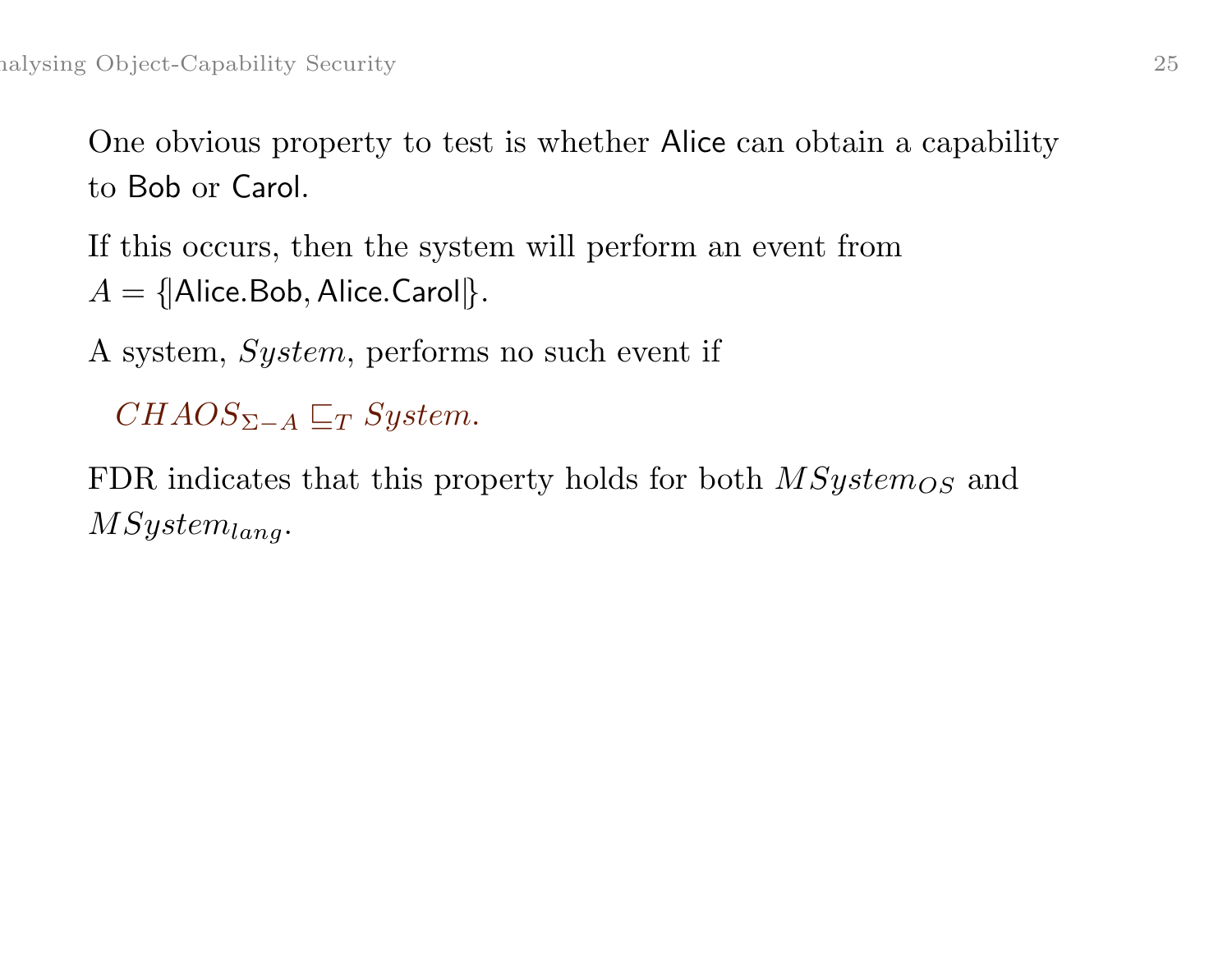One obvious property to test is whether Alice can obtain <sup>a</sup> capability to Bob or Carol.

If this occurs, then the system will perform an event from  $A = \{ | \mathsf{Alice}.\mathsf{Bob},\mathsf{Alice}.\mathsf{Carol} | \}.$ 

A system, System, performs no such event if

 $CHAOS_{\Sigma-A} \sqsubseteq_T System$ .

FDR indicates that this property holds for both  $MSystem_{OS}$  and  $MSystem_{lang}.$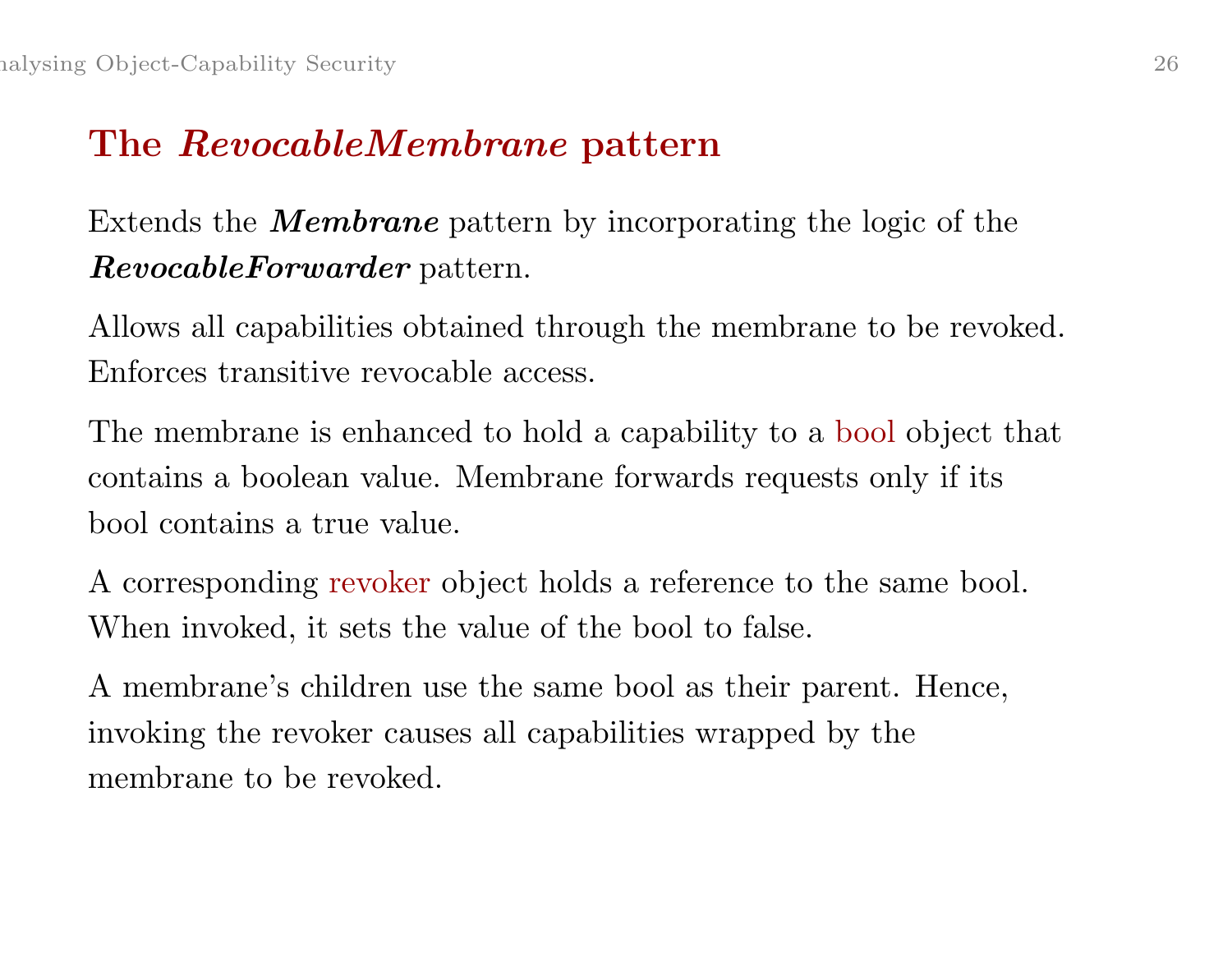# The RevocableMembrane pattern

Extends the **Membrane** pattern by incorporating the logic of the RevocableForwarder pattern.

Allows all capabilities obtained through the membrane to be revoked. Enforces transitive revocable access.

The membrane is enhanced to hold <sup>a</sup> capability to <sup>a</sup> bool object that contains <sup>a</sup> boolean value. Membrane forwards requests only if its bool contains <sup>a</sup> true value.

A corresponding revoker object holds <sup>a</sup> reference to the same bool. When invoked, it sets the value of the bool to false.

A membrane's children use the same bool as their parent. Hence, invoking the revoker causes all capabilities wrapped by the membrane to be revoked.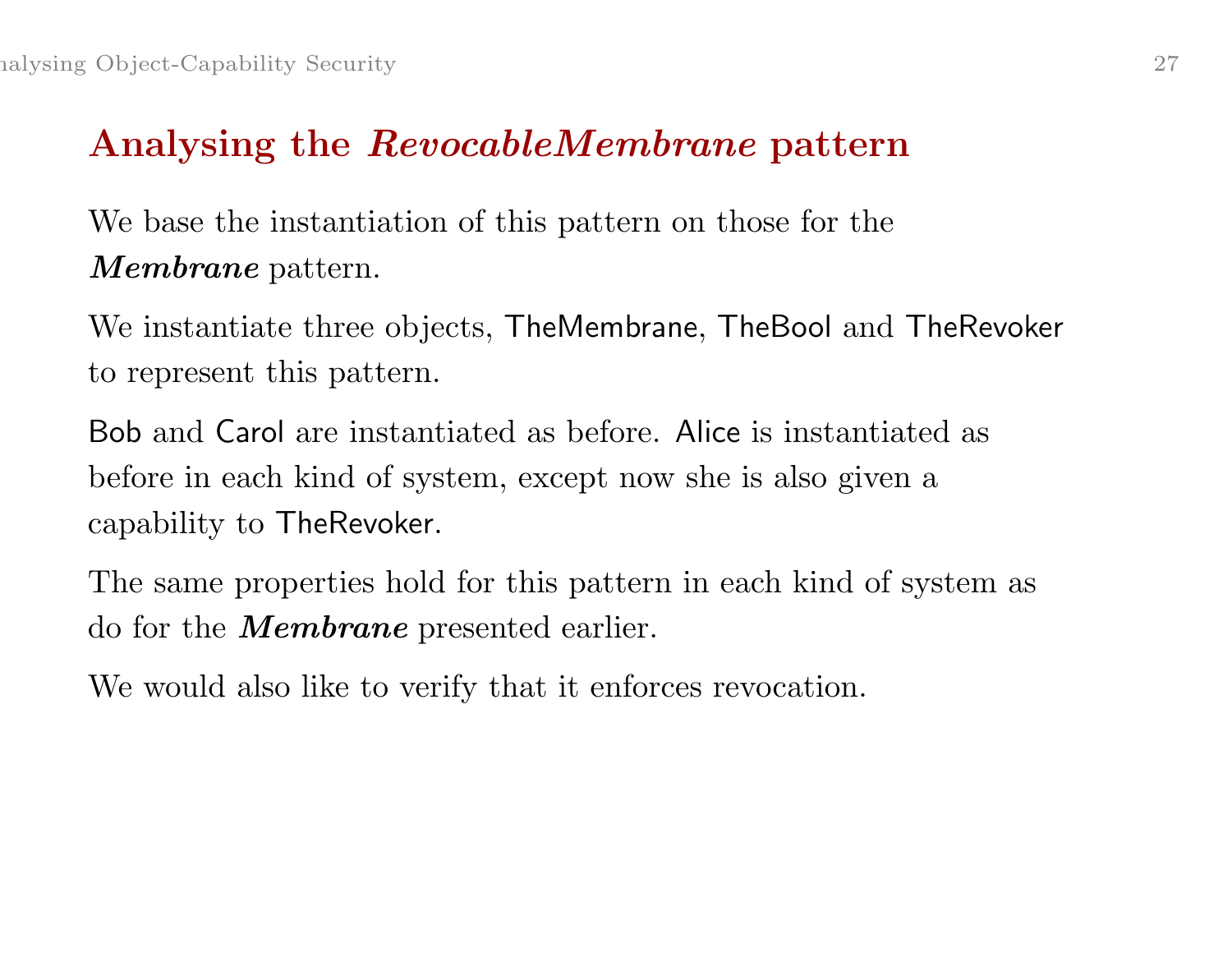#### Analysing the RevocableMembrane pattern

We base the instantiation of this pattern on those for the Membrane pattern.

We instantiate three objects, TheMembrane, TheBool and TheRevoker to represent this pattern.

Bob and Carol are instantiated as before. Alice is instantiated as before in each kind of system, except now she is also given <sup>a</sup> capability to TheRevoker.

The same properties hold for this pattern in each kind of system as do for the **Membrane** presented earlier.

We would also like to verify that it enforces revocation.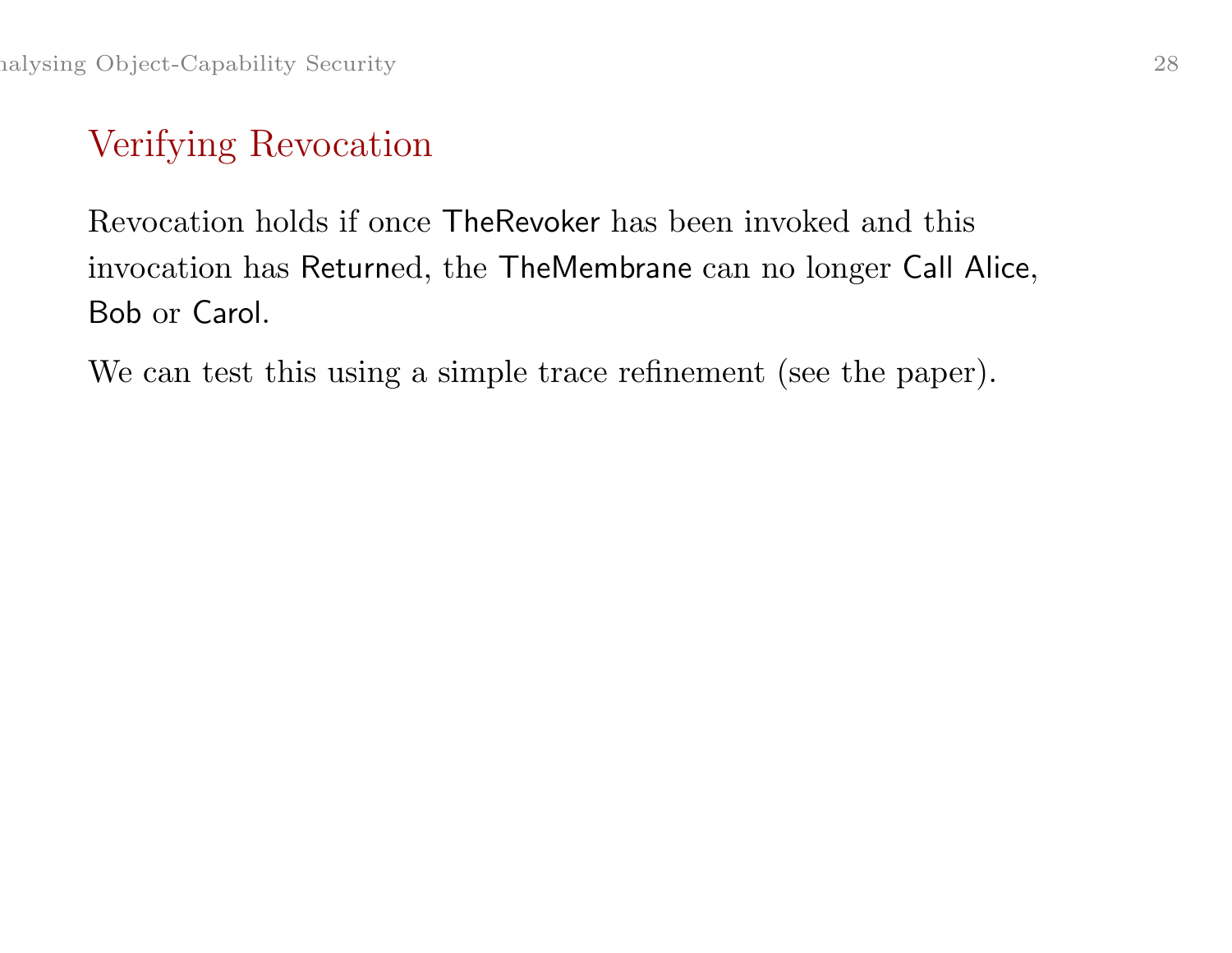# Verifying Revocation

Revocation holds if once TheRevoker has been invoked and this invocation has Returned, the TheMembrane can no longer Call Alice, Bob or Carol.

We can test this using a simple trace refinement (see the paper).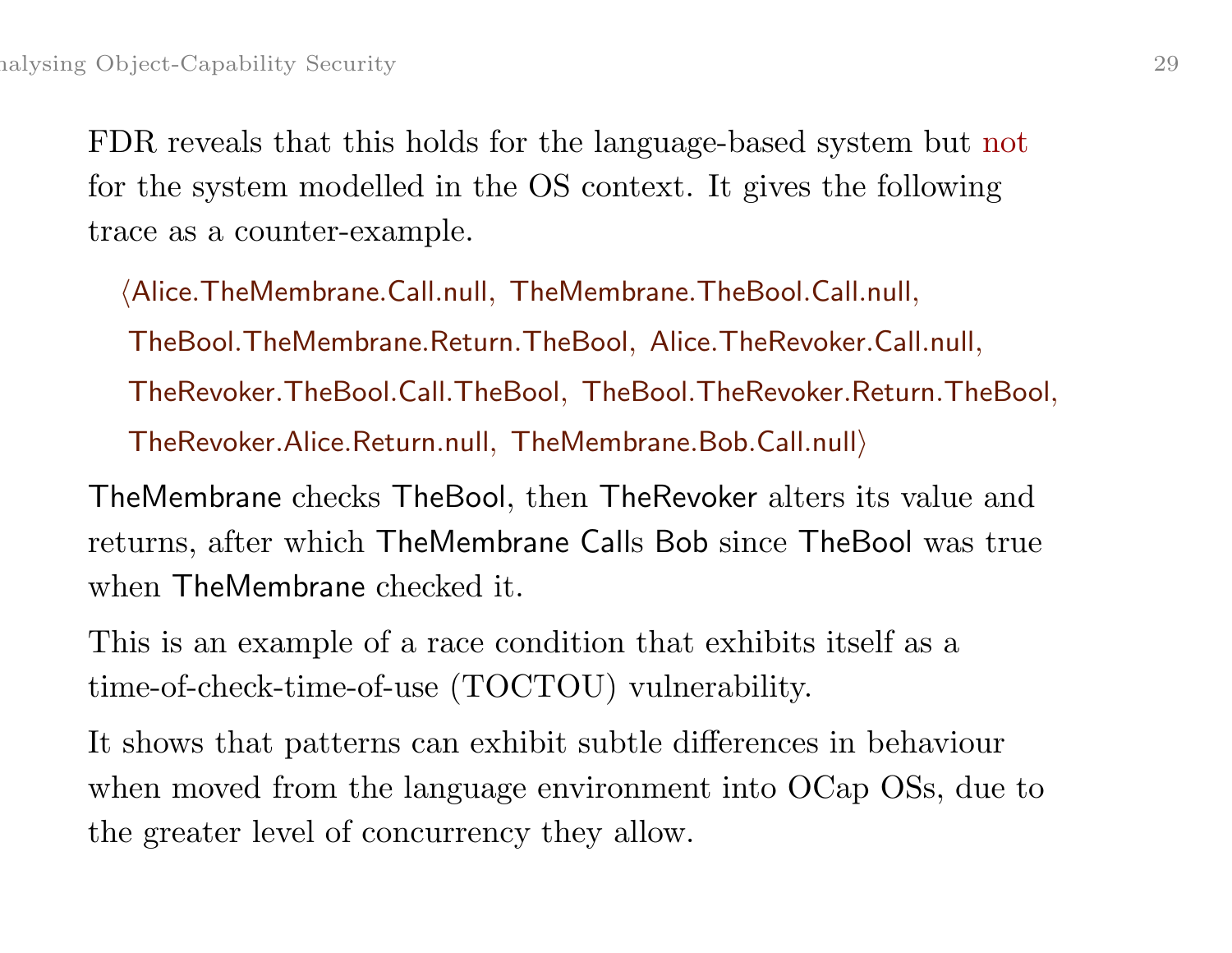FDR reveals that this holds for the language-based system but not for the system modelled in the OS context. It gives the following trace as <sup>a</sup> counter-example.

 $\langle$  Alice. TheMembrane. Call.null, TheMembrane. TheBool. Call.null, TheBool.TheMembrane.Return.TheBool, Alice.TheRevoker.Call.null, TheRevoker.TheBool.Call.TheBool, TheBool.TheRevoker.Return.TheBool,  $The Revoler. Alice. Return. null, The Membrane. Bob. Call. null.$ 

TheMembrane checks TheBool, then TheRevoker alters its value and returns, after which TheMembrane Call<sup>s</sup> Bob since TheBool was true when TheMembrane checked it.

This is an example of <sup>a</sup> race condition that exhibits itself as <sup>a</sup> time-of-check-time-of-use (TOCTOU) vulnerability.

It shows that patterns can exhibit subtle differences in behaviour when moved from the language environment into OCap OSs, due to the greater level of concurrency they allow.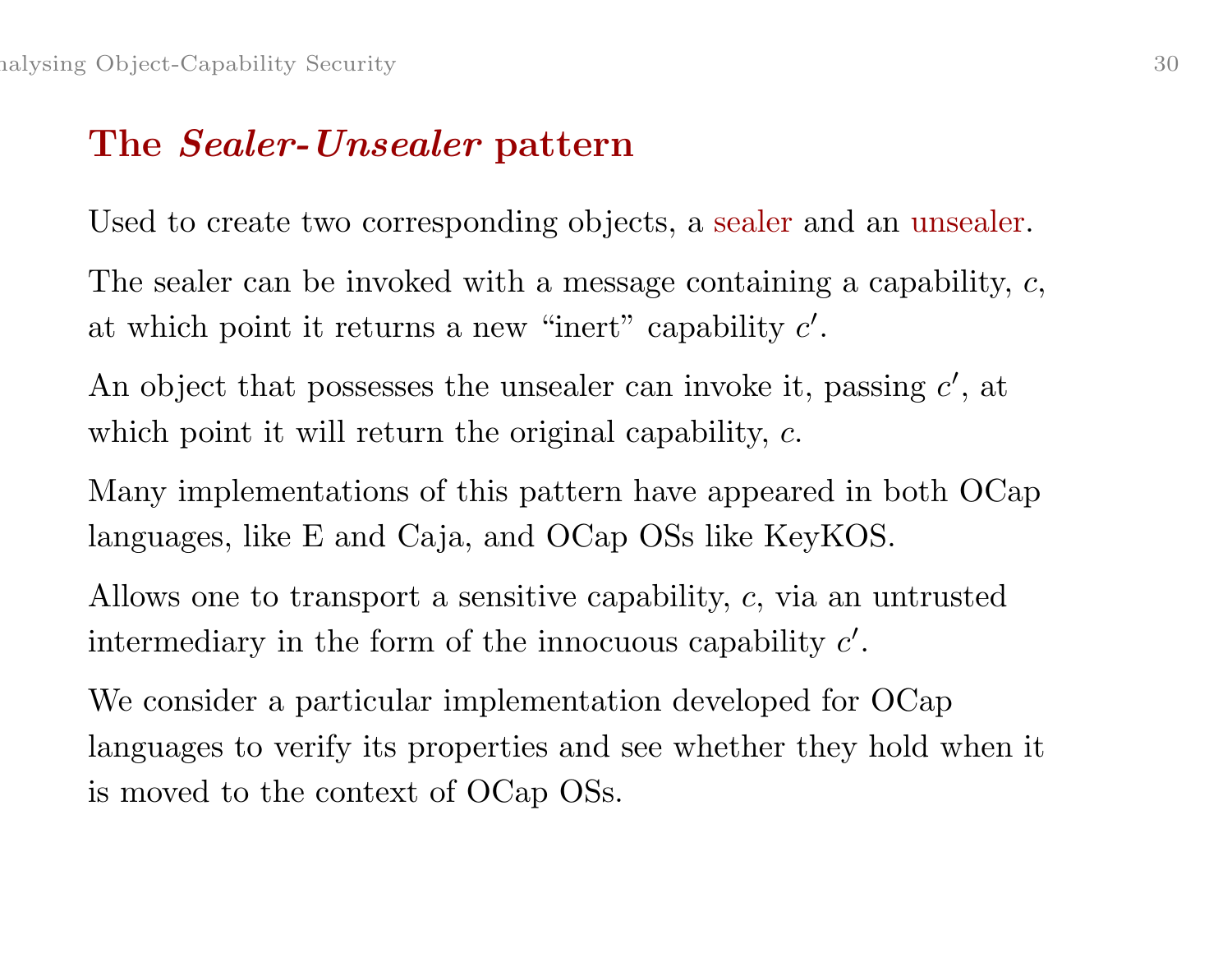#### The *Sealer-Unsealer* pattern

Used to create two corresponding objects, <sup>a</sup> sealer and an unsealer.

The sealer can be invoked with a message containing a capability, c, at which point it returns a new "inert" capability  $c'$ .

An object that possesses the unsealer can invoke it, passing  $c'$ , at which point it will return the original capability, c.

Many implementations of this pattern have appeared in both OCap languages, like E and Caja, and OCap OSs like KeyKOS.

Allows one to transport <sup>a</sup> sensitive capability, <sup>c</sup>, via an untrusted intermediary in the form of the innocuous capability  $c'$ .

We consider <sup>a</sup> particular implementation developed for OCap languages to verify its properties and see whether they hold when it is moved to the context of OCap OSs.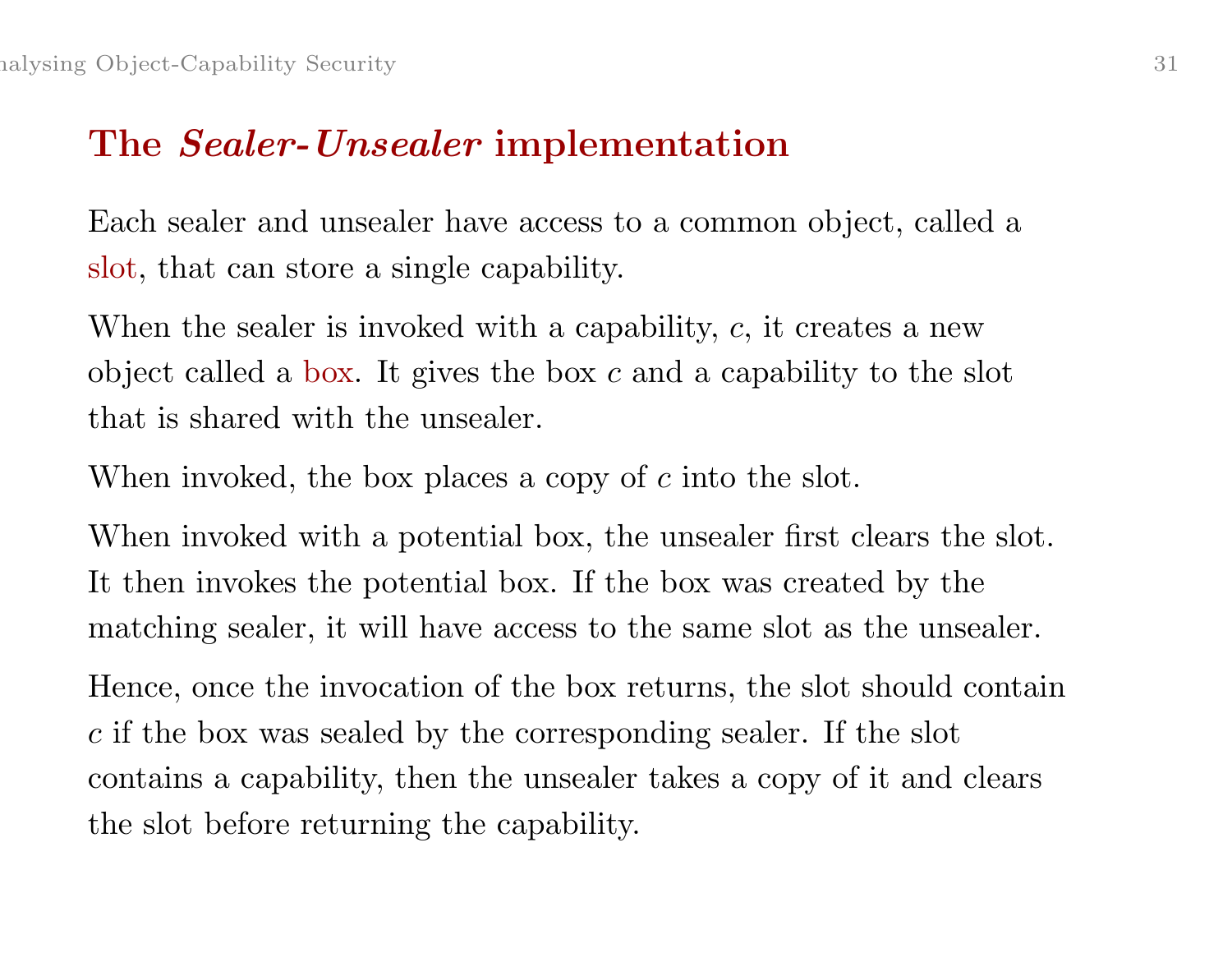#### The *Sealer-Unsealer* implementation

Each sealer and unsealer have access to <sup>a</sup> common object, called <sup>a</sup> slot, that can store <sup>a</sup> single capability.

When the sealer is invoked with a capability,  $c$ , it creates a new object called a box. It gives the box  $c$  and a capability to the slot that is shared with the unsealer.

When invoked, the box places a copy of c into the slot.

When invoked with a potential box, the unsealer first clears the slot. It then invokes the potential box. If the box was created by the matching sealer, it will have access to the same slot as the unsealer.

Hence, once the invocation of the box returns, the slot should contain <sup>c</sup> if the box was sealed by the corresponding sealer. If the slot contains <sup>a</sup> capability, then the unsealer takes <sup>a</sup> copy of it and clears the slot before returning the capability.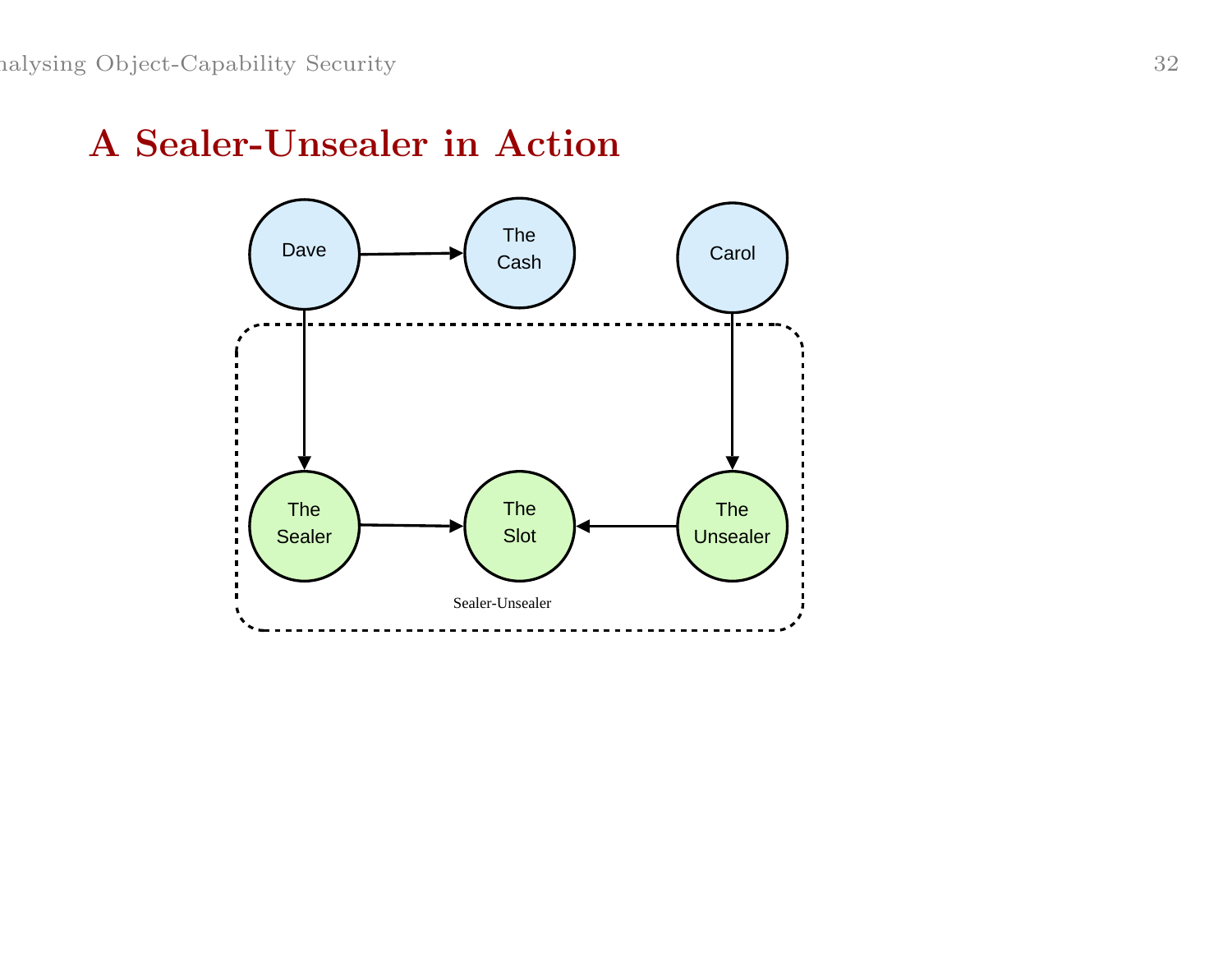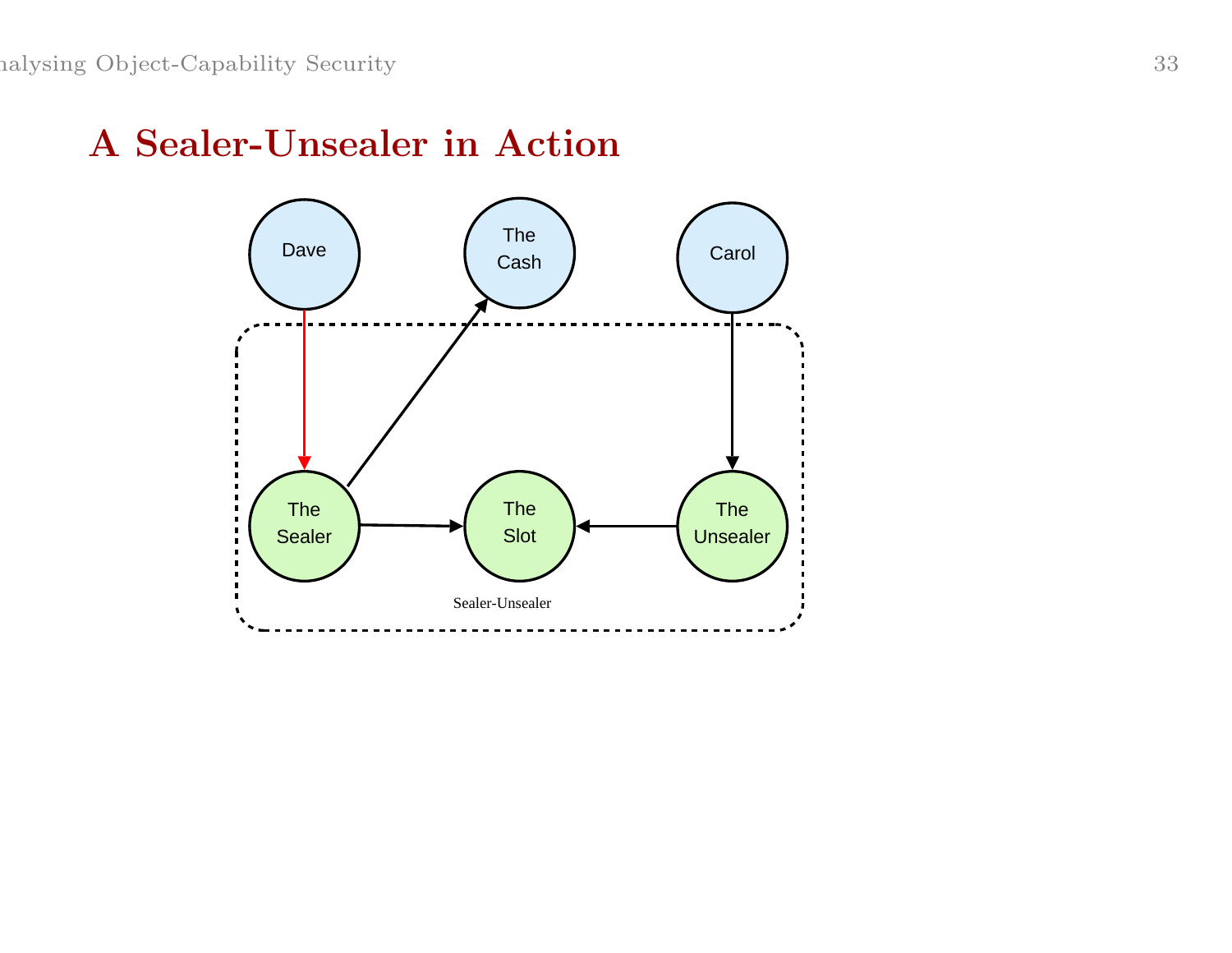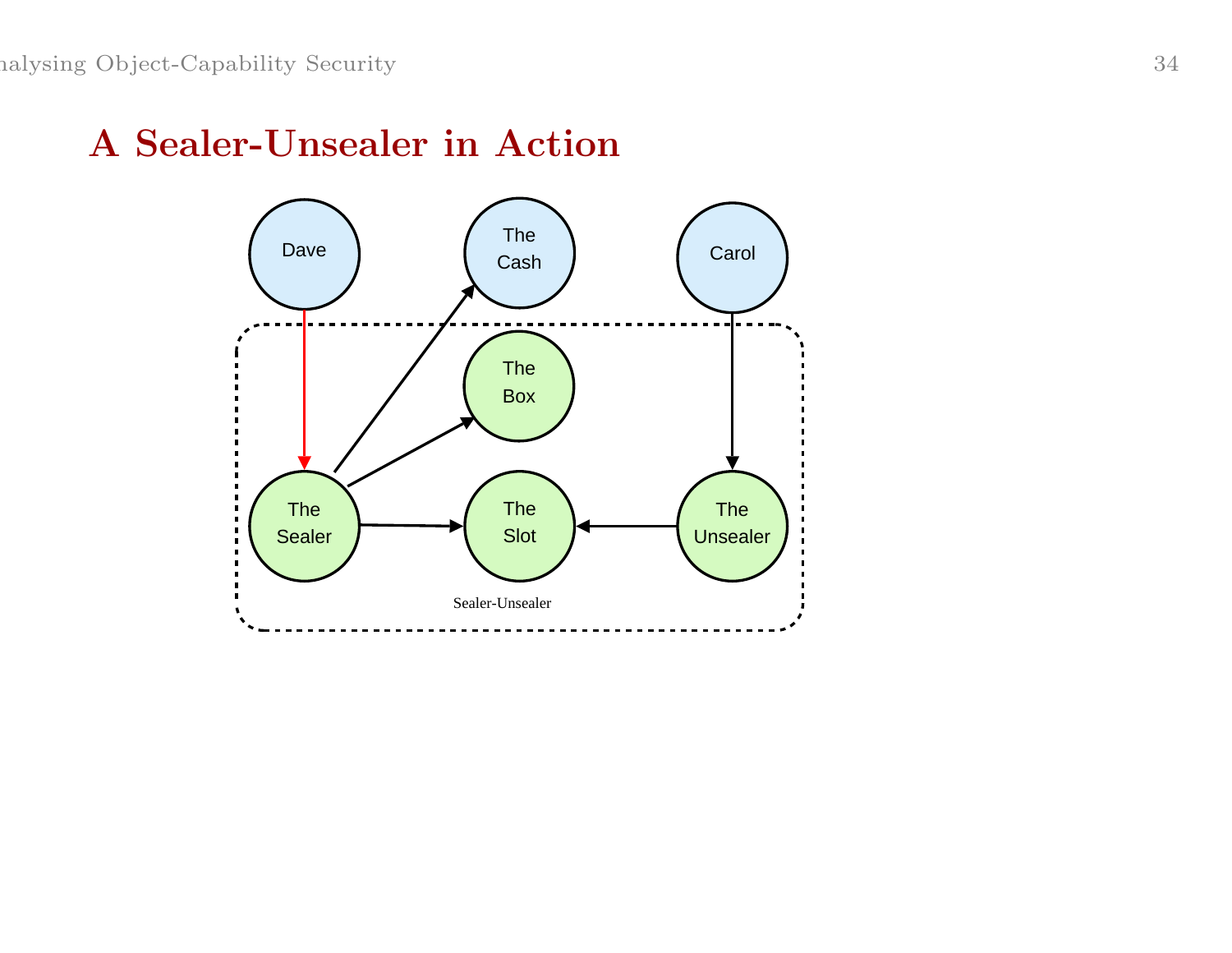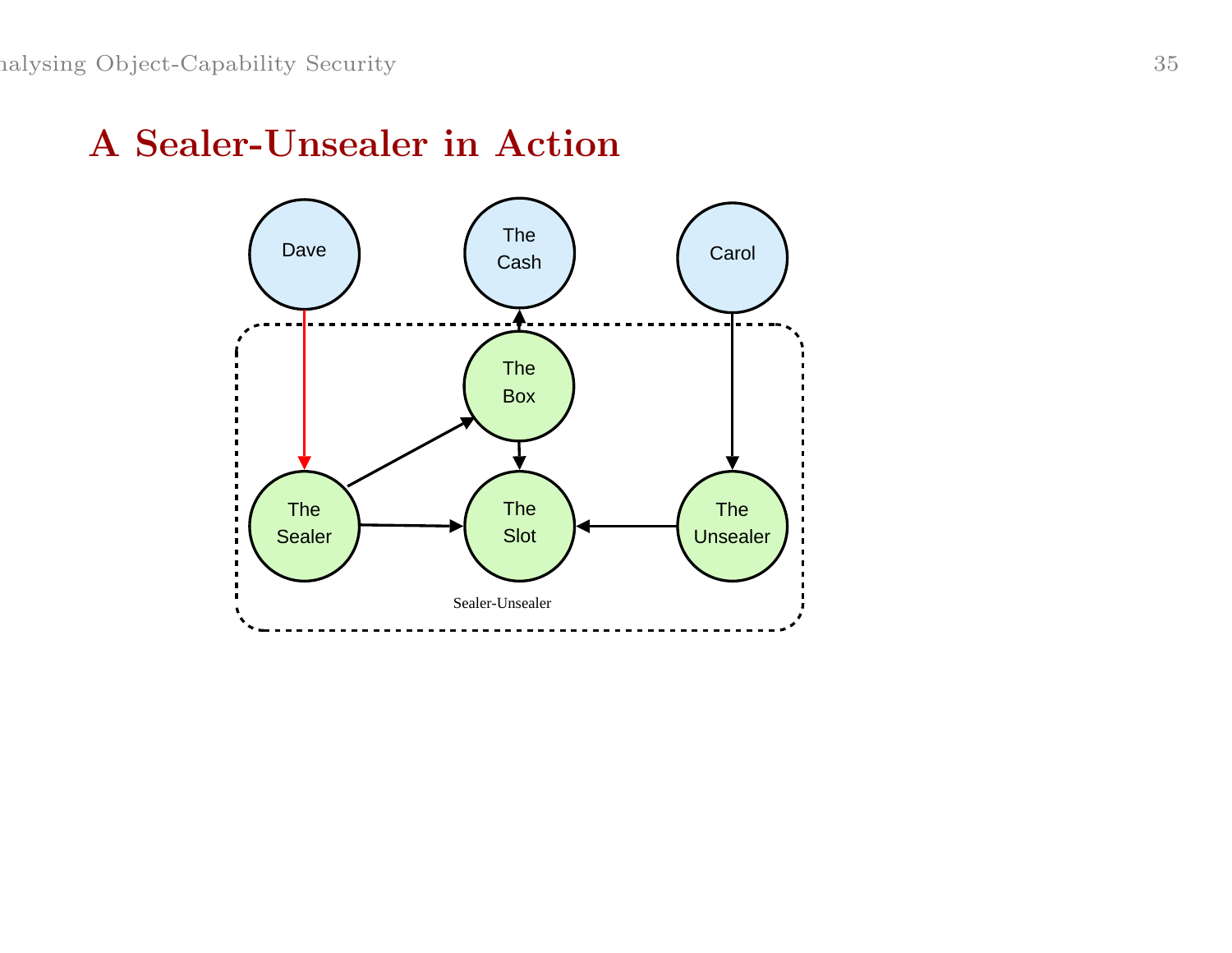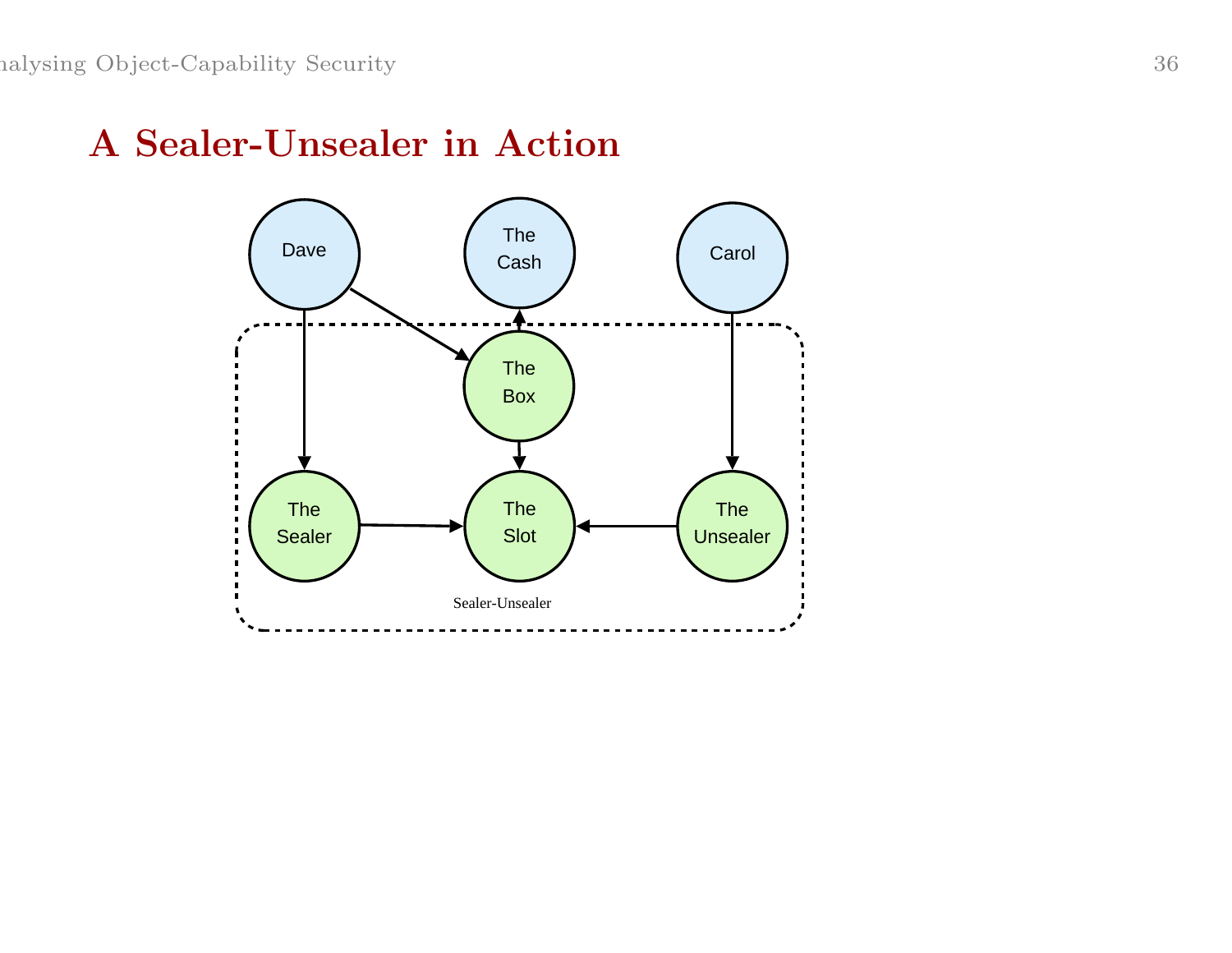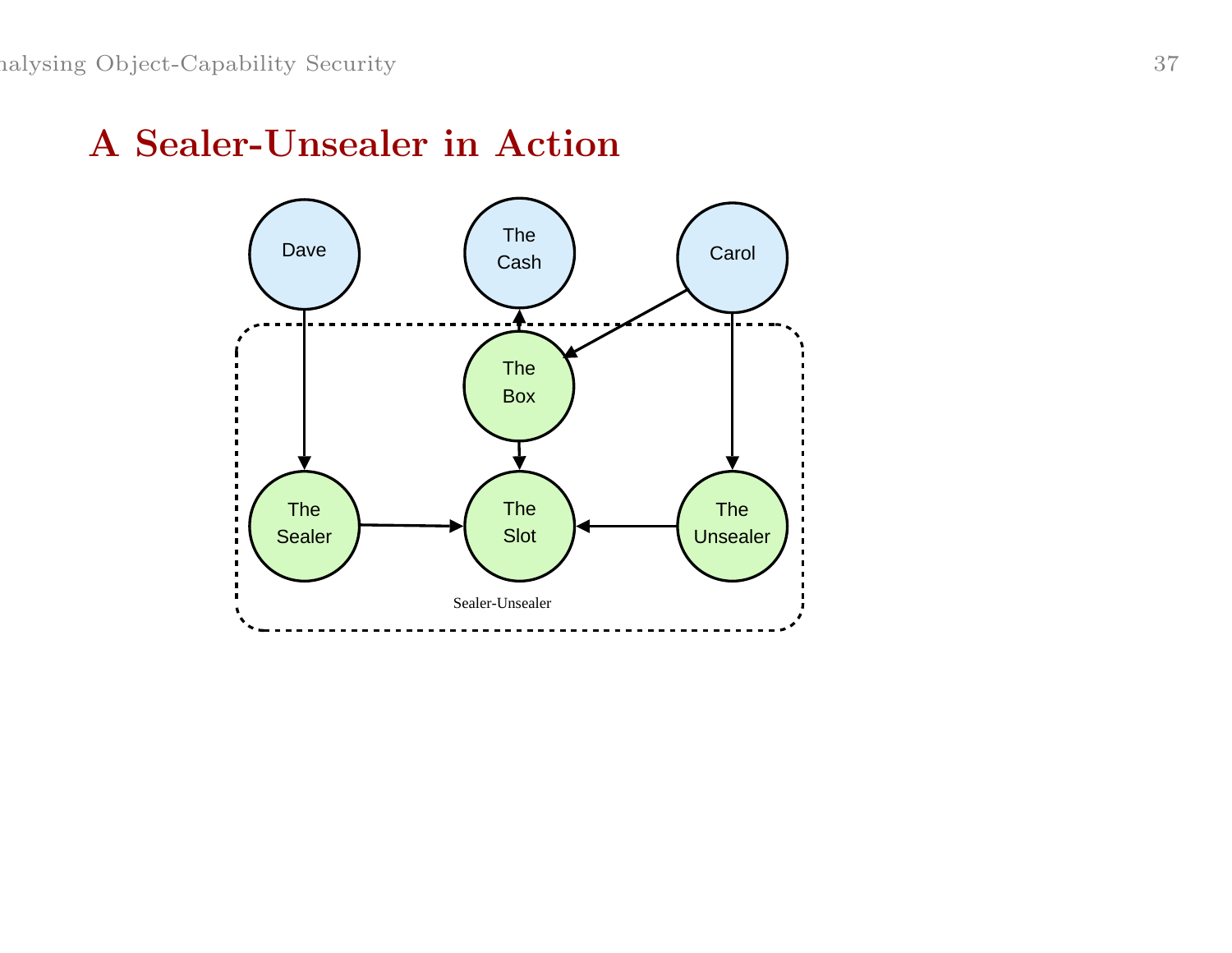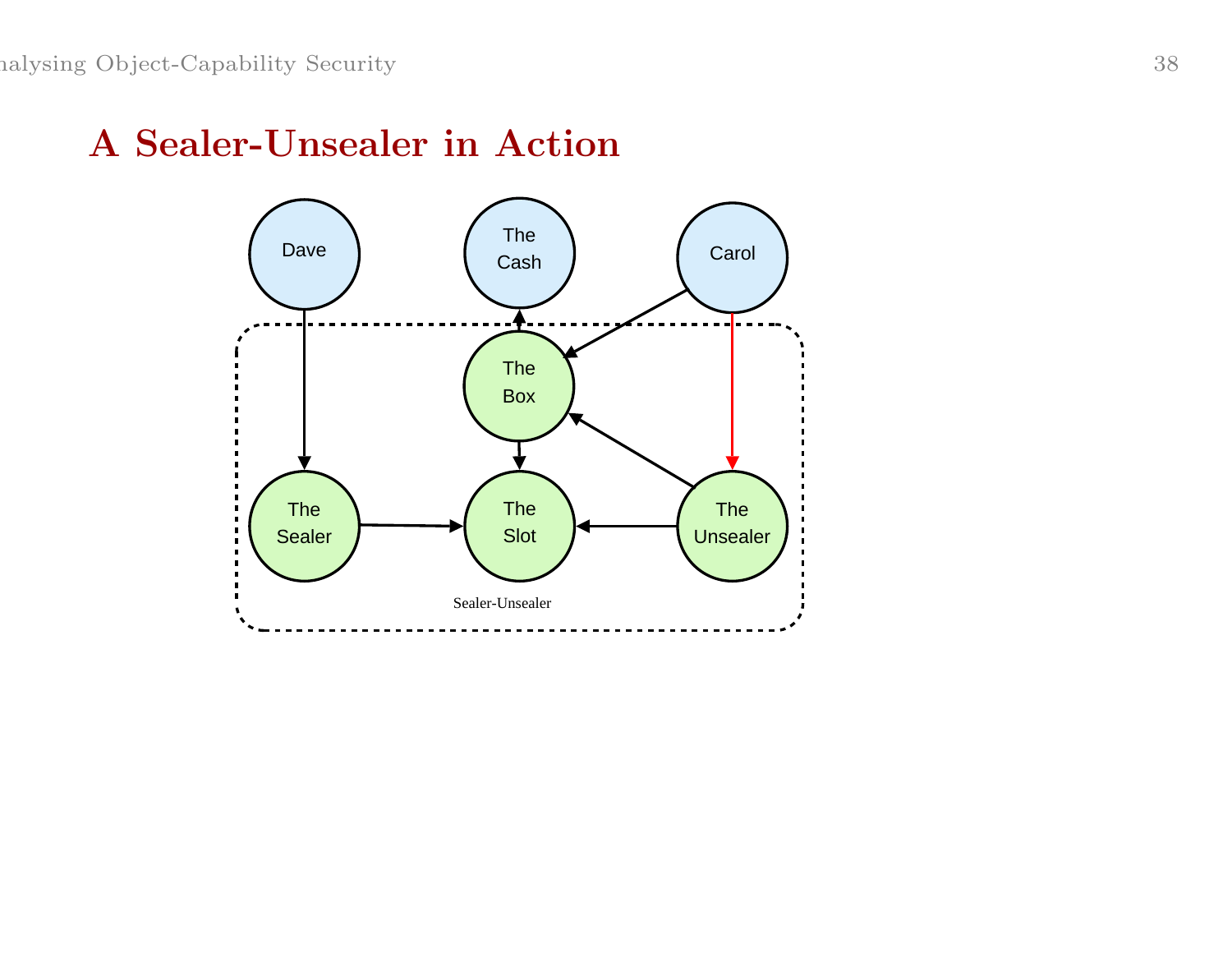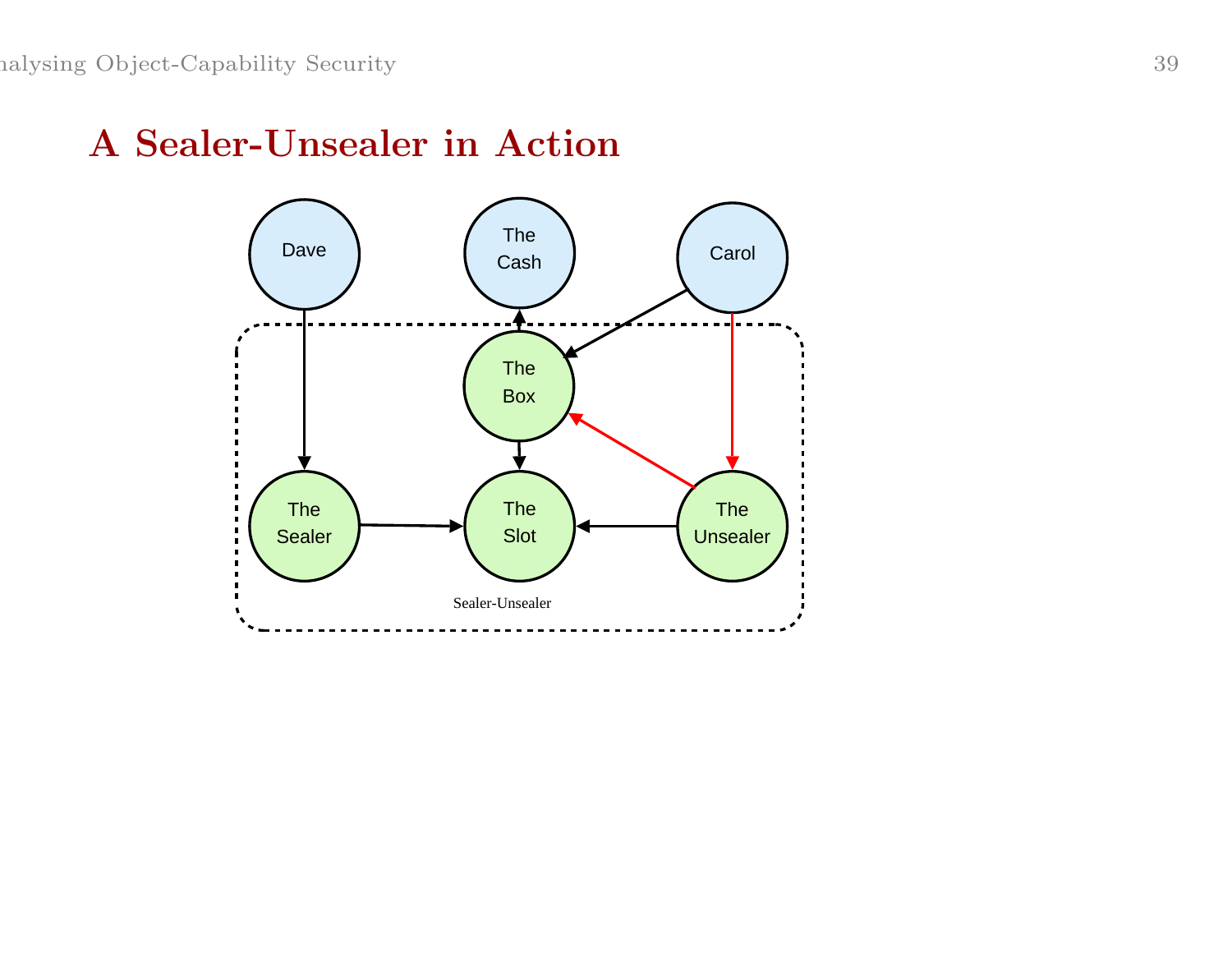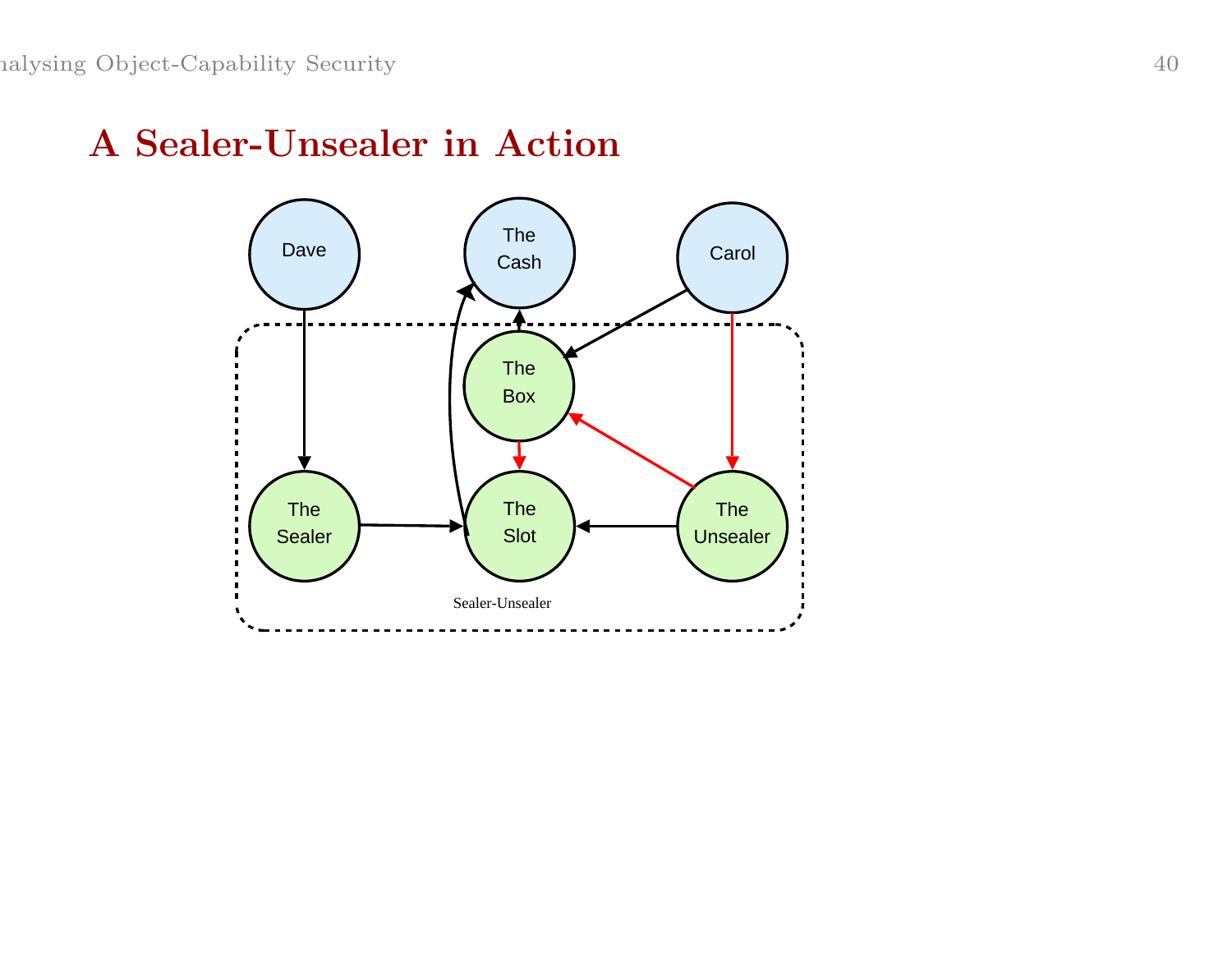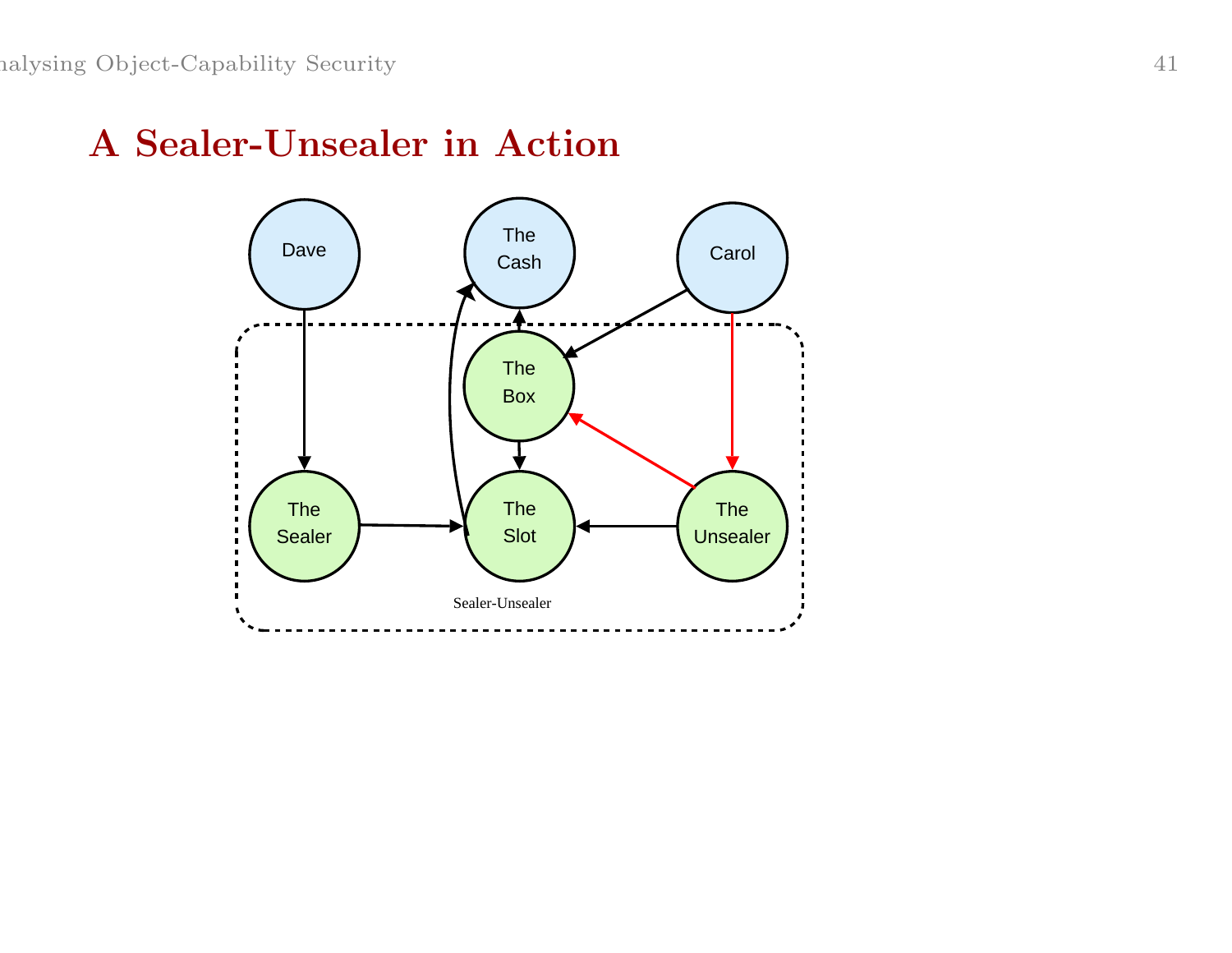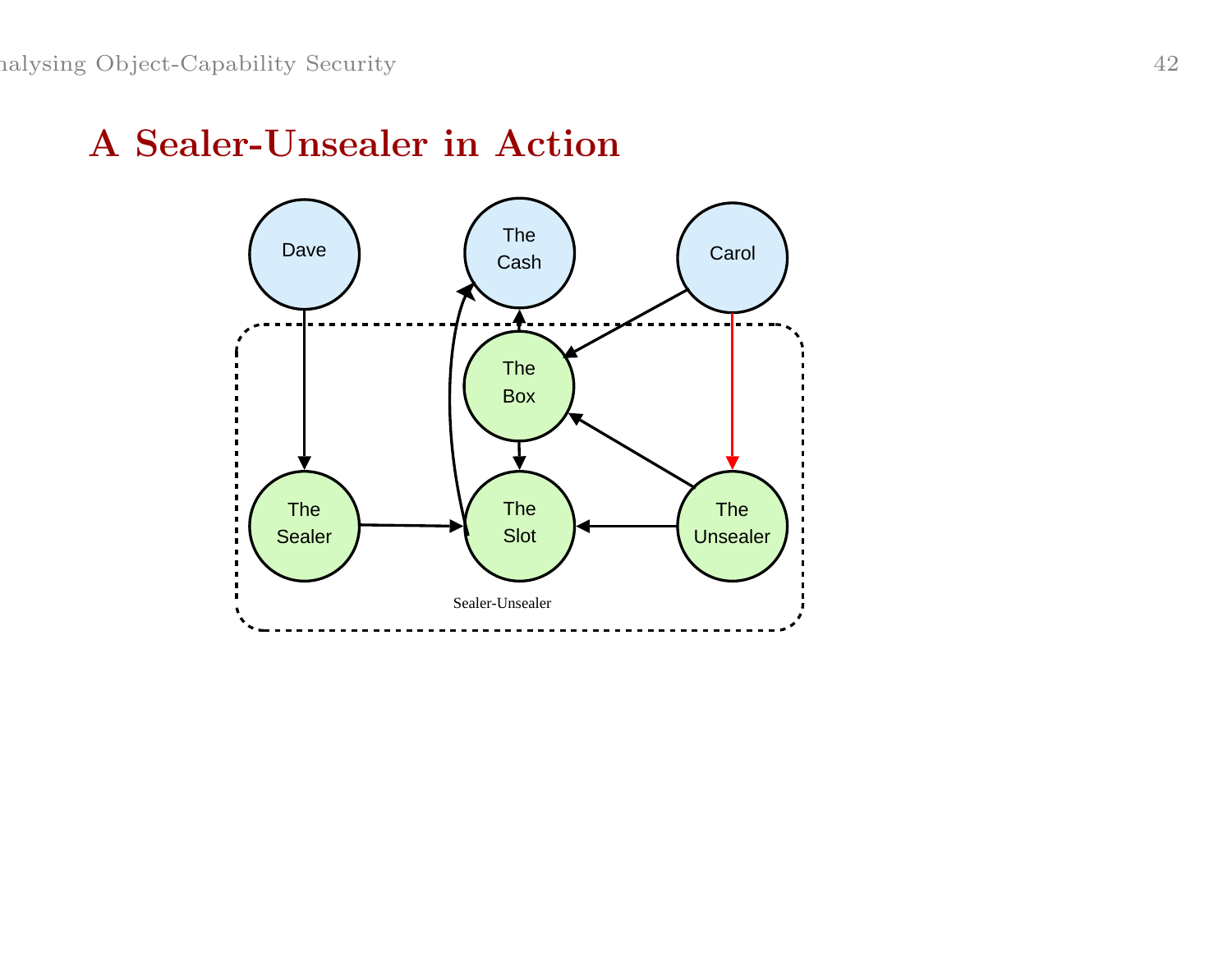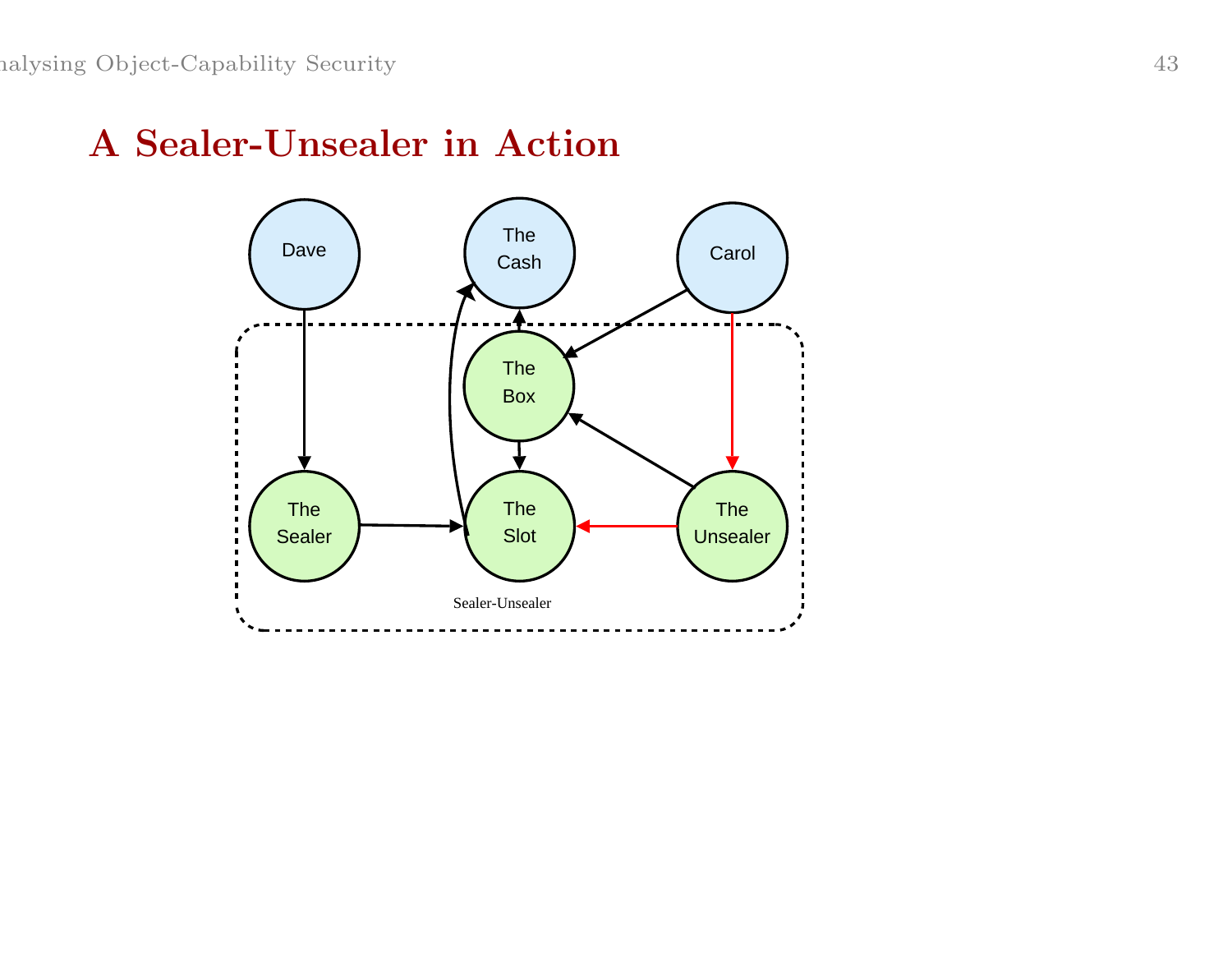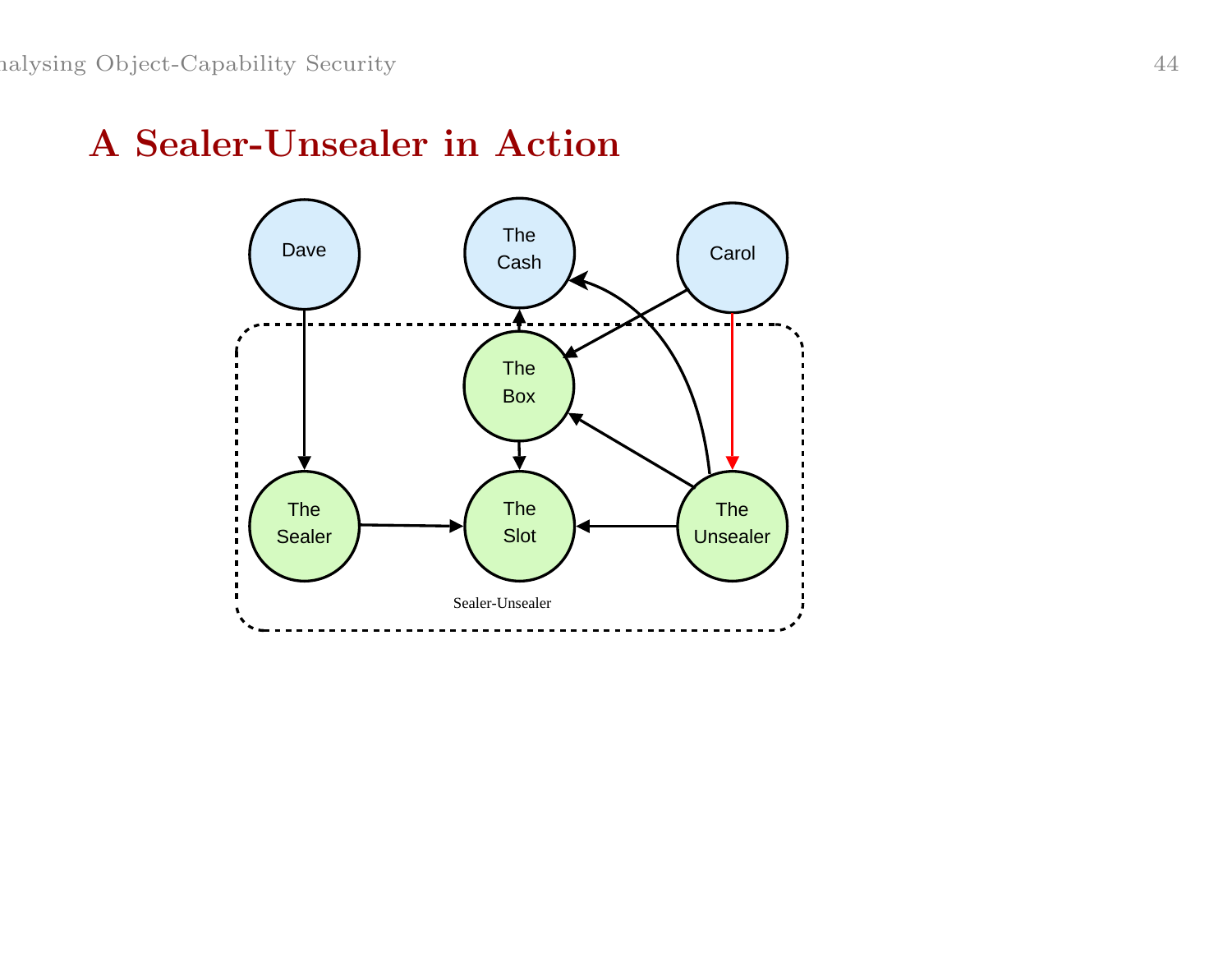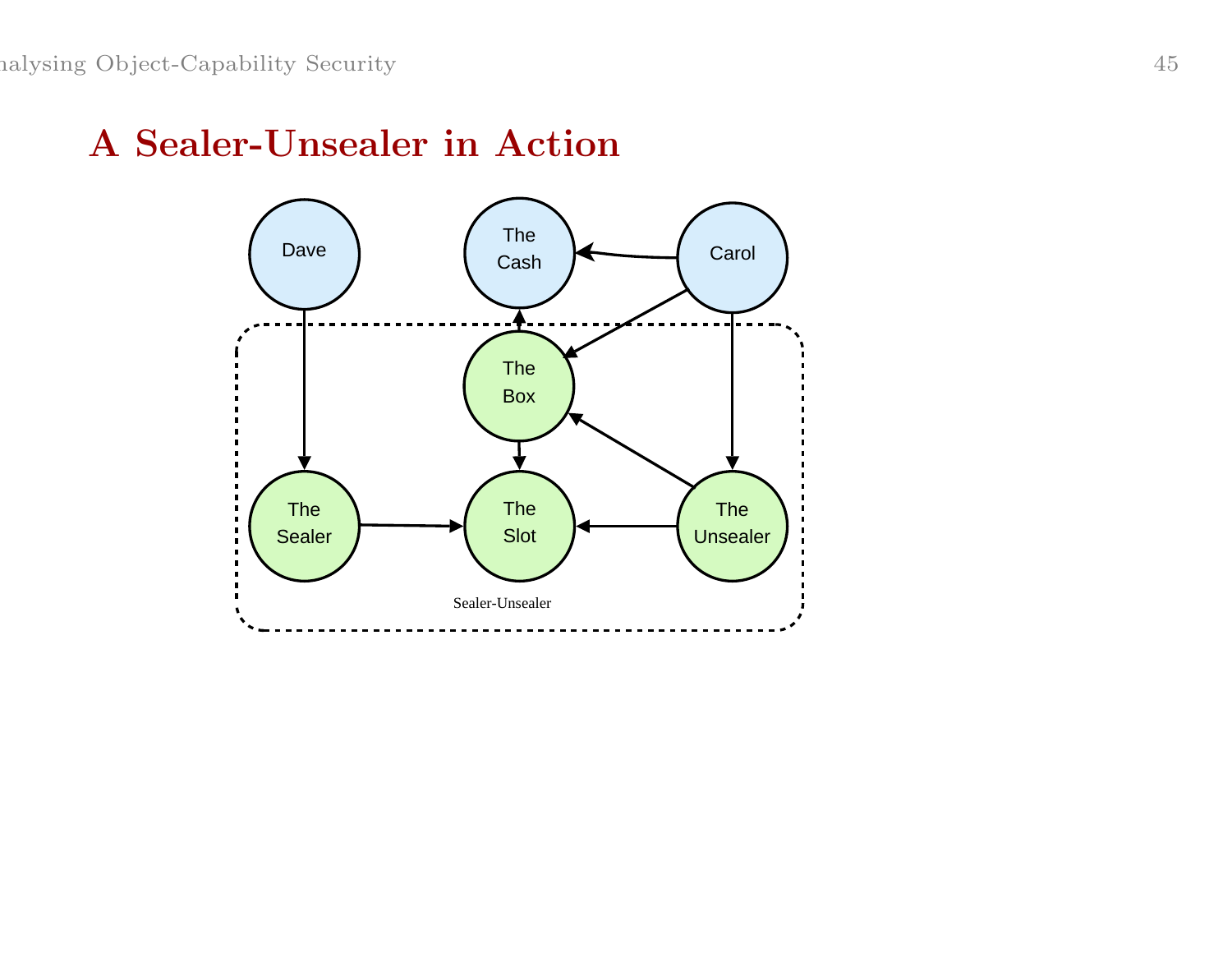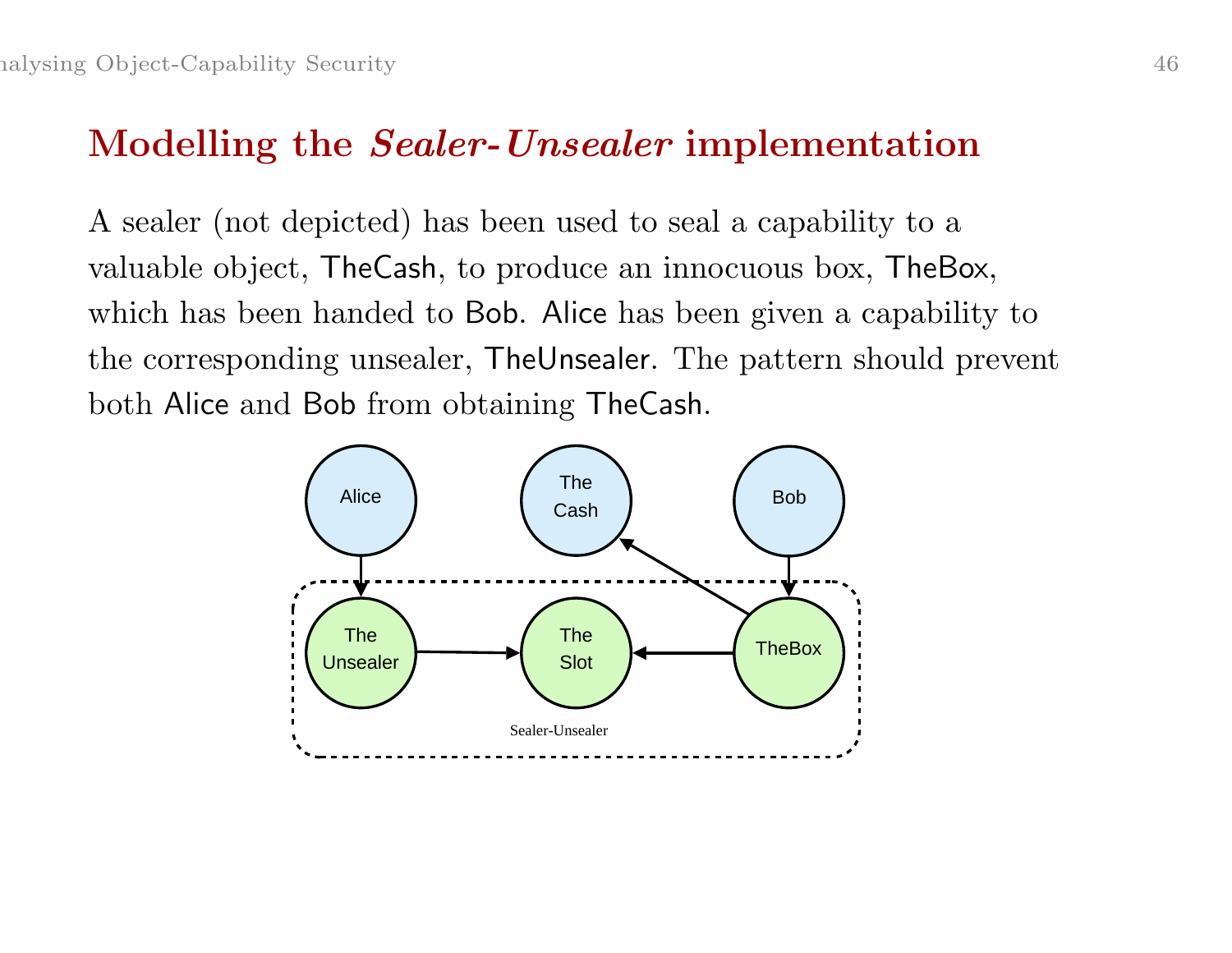#### Modelling the *Sealer-Unsealer* implementation

A sealer (not depicted) has been used to seal <sup>a</sup> capability to <sup>a</sup> valuable object, TheCash, to produce an innocuous box, TheBox, which has been handed to Bob. Alice has been given <sup>a</sup> capability to the corresponding unsealer, TheUnsealer. The pattern should prevent both Alice and Bob from obtaining TheCash.

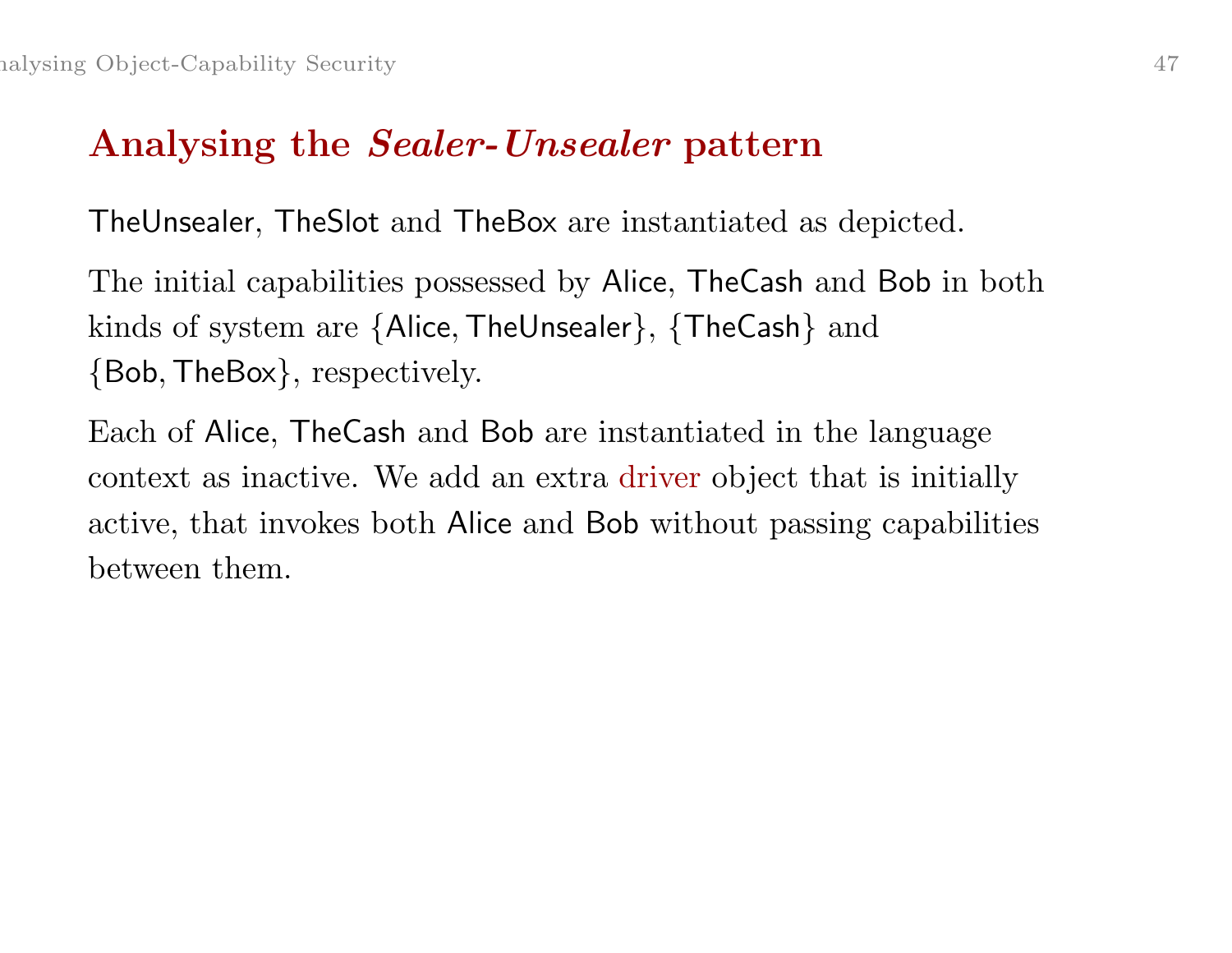## Analysing the Sealer-Unsealer pattern

TheUnsealer, TheSlot and TheBox are instantiated as depicted.

The initial capabilities possessed by Alice, TheCash and Bob in both kinds of system are {Alice, TheUnsealer}, {TheCash} and {Bob,TheBox}, respectively.

Each of Alice, TheCash and Bob are instantiated in the language context as inactive. We add an extra driver object that is initially active, that invokes both Alice and Bob without passing capabilities between them.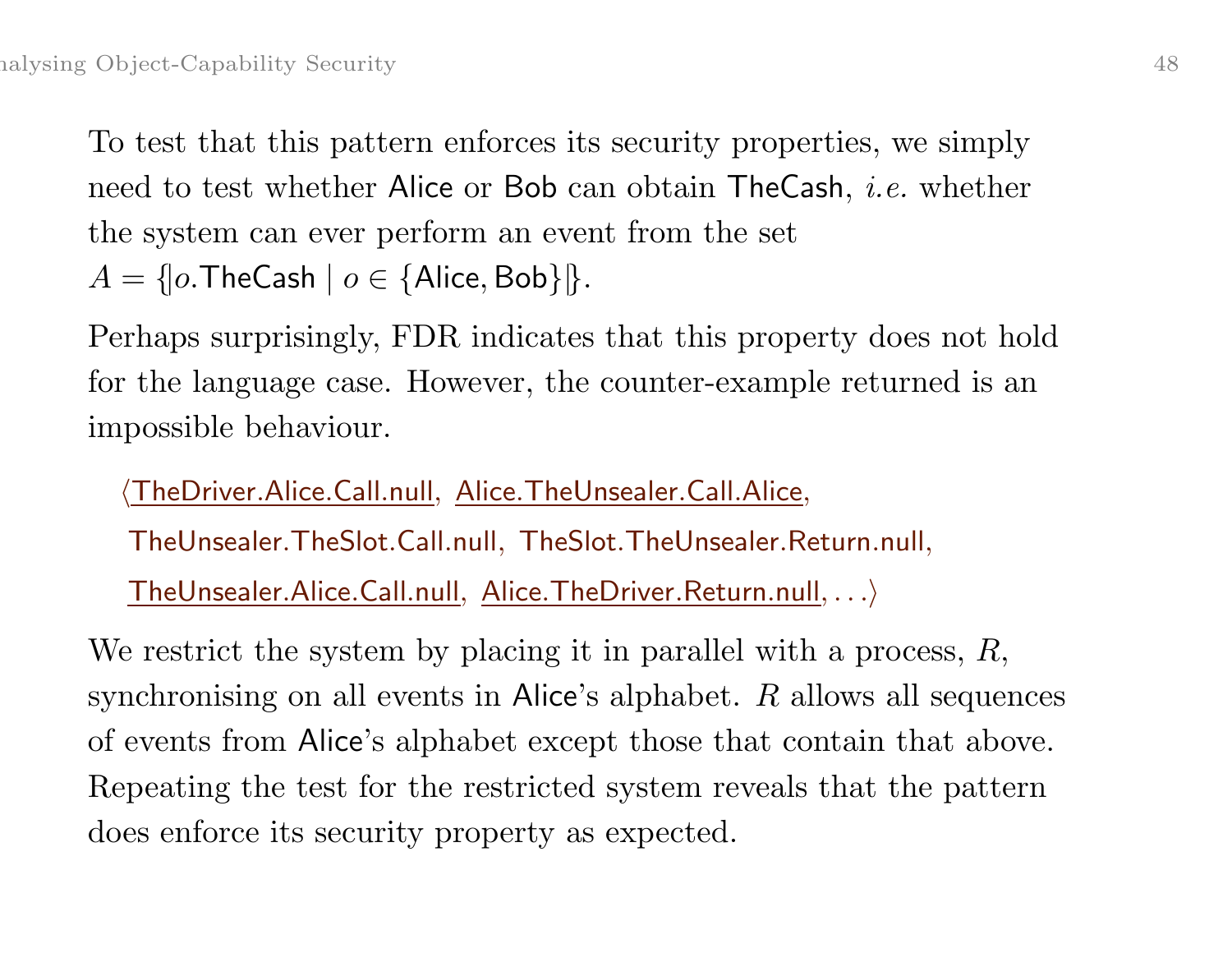To test that this pattern enforces its security properties, we simply need to test whether Alice or Bob can obtain TheCash, i.e. whether the system can ever perform an event from the set  $A = \{ |o.\mathsf{TheCash} \mid o \in \{\mathsf{Alice}, \mathsf{Bob}\} | \}.$ 

Perhaps surprisingly, FDR indicates that this property does not hold for the language case. However, the counter-example returned is an impossible behaviour.

<u>**TheDriver.Alice.Call.null, Alice.TheUnsealer.Call.Alice,**</u>

TheUnsealer.TheSlot.Call.null, TheSlot.TheUnsealer.Return.null,

TheUnsealer.Alice.Call.null, Alice.TheDriver.Return.null, . . .i

We restrict the system by placing it in parallel with a process, R, synchronising on all events in Alice's alphabet. R allows all sequences of events from Alice's alphabet except those that contain that above. Repeating the test for the restricted system reveals that the pattern does enforce its security property as expected.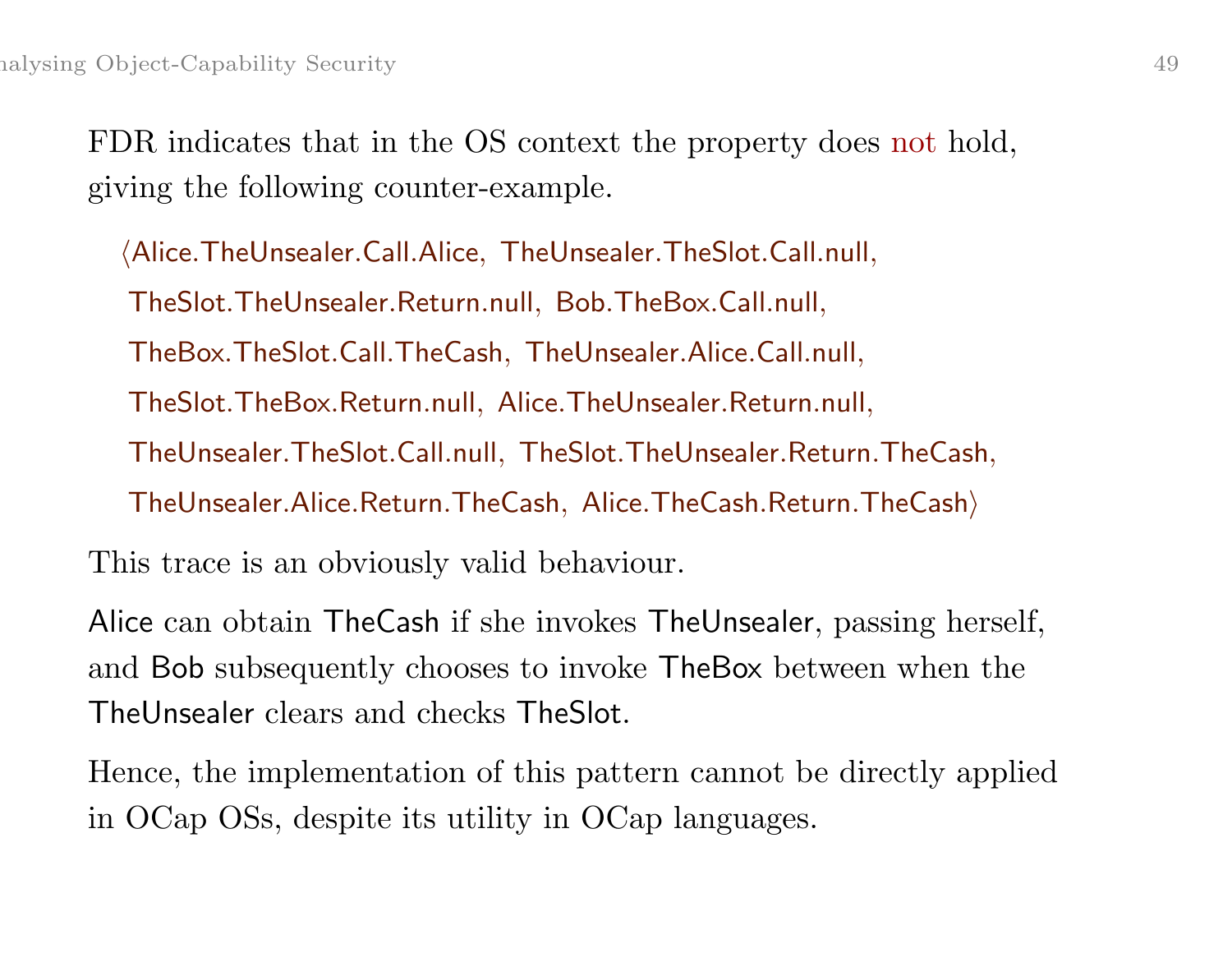FDR indicates that in the OS context the property does not hold, giving the following counter-example.

hAlice.TheUnsealer.Call.Alice, TheUnsealer.TheSlot.Call.null, TheSlot.TheUnsealer.Return.null, Bob.TheBox.Call.null, TheBox.TheSlot.Call.TheCash, TheUnsealer.Alice.Call.null, TheSlot.TheBox.Return.null, Alice.TheUnsealer.Return.null, TheUnsealer.TheSlot.Call.null, TheSlot.TheUnsealer.Return.TheCash, TheUnsealer.Alice.Return.TheCash, Alice.TheCash.Return.TheCashi This trace is an obviously valid behaviour.

Alice can obtain TheCash if she invokes TheUnsealer, passing herself,

and Bob subsequently chooses to invoke TheBox between when the TheUnsealer clears and checks TheSlot.

Hence, the implementation of this pattern cannot be directly applied in OCap OSs, despite its utility in OCap languages.